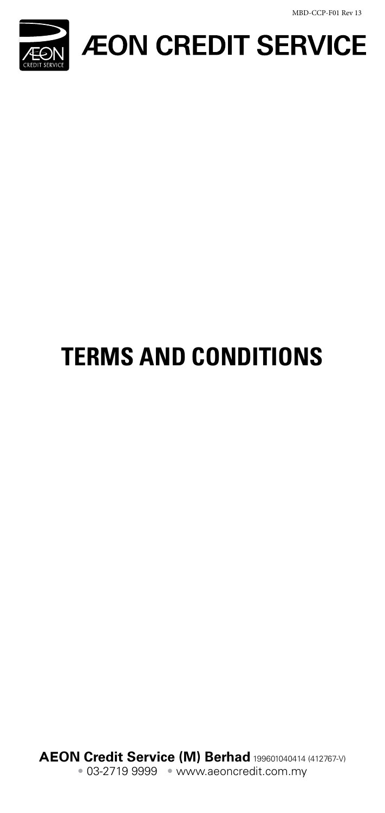MBD-CCP-F01 Rev 13



**ÆON CREDIT SERVICE** 

# **TERMS AND CONDITIONS**

**AEON Credit Service (M) Berhad** 199601040414 (412767-V) • 03-2719 9999 • www.aeoncredit.com.my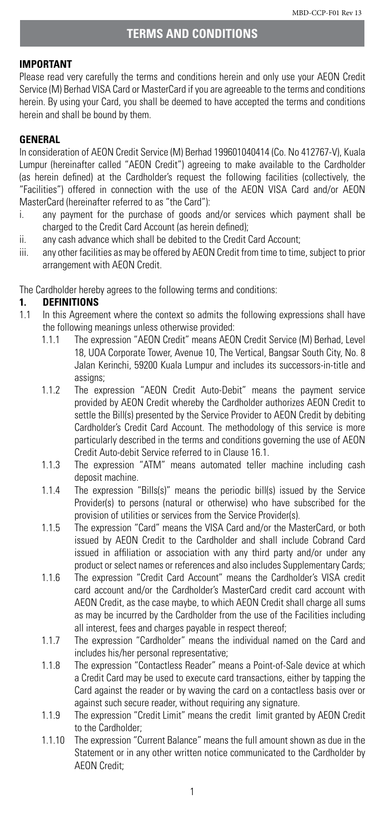#### **IMPORTANT**

Please read very carefully the terms and conditions herein and only use your AEON Credit Service (M) Berhad VISA Card or MasterCard if you are agreeable to the terms and conditions herein. By using your Card, you shall be deemed to have accepted the terms and conditions herein and shall be bound by them.

# **GENERAL**

In consideration of AEON Credit Service (M) Berhad 199601040414 (Co. No 412767-V), Kuala Lumpur (hereinafter called "AEON Credit") agreeing to make available to the Cardholder (as herein defined) at the Cardholder's request the following facilities (collectively, the "Facilities") offered in connection with the use of the AEON VISA Card and/or AEON MasterCard (hereinafter referred to as "the Card"):

- i. any payment for the purchase of goods and/or services which payment shall be charged to the Credit Card Account (as herein defined);
- ii. any cash advance which shall be debited to the Credit Card Account;
- iii. any other facilities as may be offered by AEON Credit from time to time, subject to prior arrangement with AEON Credit.

The Cardholder hereby agrees to the following terms and conditions:

# **1. DEFINITIONS**

- In this Agreement where the context so admits the following expressions shall have the following meanings unless otherwise provided:
	- 1.1.1 The expression "AEON Credit" means AEON Credit Service (M) Berhad, Level 18, UOA Corporate Tower, Avenue 10, The Vertical, Bangsar South City, No. 8 Jalan Kerinchi, 59200 Kuala Lumpur and includes its successors-in-title and assigns;
	- 1.1.2 The expression "AEON Credit Auto-Debit" means the payment service provided by AEON Credit whereby the Cardholder authorizes AEON Credit to settle the Bill(s) presented by the Service Provider to AEON Credit by debiting Cardholder's Credit Card Account. The methodology of this service is more particularly described in the terms and conditions governing the use of AEON Credit Auto-debit Service referred to in Clause 16.1.
	- 1.1.3 The expression "ATM" means automated teller machine including cash deposit machine.
	- 1.1.4 The expression "Bills(s)" means the periodic bill(s) issued by the Service Provider(s) to persons (natural or otherwise) who have subscribed for the provision of utilities or services from the Service Provider(s).
	- 1.1.5 The expression "Card" means the VISA Card and/or the MasterCard, or both issued by AEON Credit to the Cardholder and shall include Cobrand Card issued in affiliation or association with any third party and/or under any product or select names or references and also includes Supplementary Cards;
	- 1.1.6 The expression "Credit Card Account" means the Cardholder's VISA credit card account and/or the Cardholder's MasterCard credit card account with AEON Credit, as the case maybe, to which AEON Credit shall charge all sums as may be incurred by the Cardholder from the use of the Facilities including all interest, fees and charges payable in respect thereof;
	- 1.1.7 The expression "Cardholder" means the individual named on the Card and includes his/her personal representative;
	- 1.1.8 The expression "Contactless Reader" means a Point-of-Sale device at which a Credit Card may be used to execute card transactions, either by tapping the Card against the reader or by waving the card on a contactless basis over or against such secure reader, without requiring any signature.
	- 1.1.9 The expression "Credit Limit" means the credit limit granted by AEON Credit to the Cardholder;
	- 1.1.10 The expression "Current Balance" means the full amount shown as due in the Statement or in any other written notice communicated to the Cardholder by AEON Credit;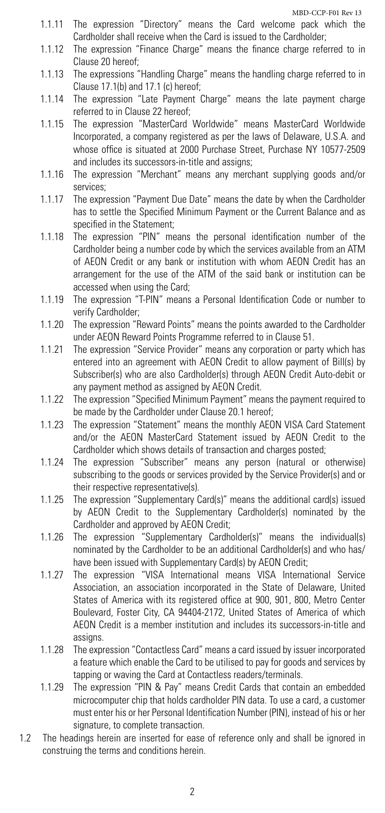- 1.1.11 The expression "Directory" means the Card welcome pack which the Cardholder shall receive when the Card is issued to the Cardholder;
- 1.1.12 The expression "Finance Charge" means the finance charge referred to in Clause 20 hereof;
- 1.1.13 The expressions "Handling Charge" means the handling charge referred to in Clause 17.1(b) and 17.1 (c) hereof;
- 1.1.14 The expression "Late Payment Charge" means the late payment charge referred to in Clause 22 hereof;
- 1.1.15 The expression "MasterCard Worldwide" means MasterCard Worldwide Incorporated, a company registered as per the laws of Delaware, U.S.A. and whose office is situated at 2000 Purchase Street, Purchase NY 10577-2509 and includes its successors-in-title and assigns;
- 1.1.16 The expression "Merchant" means any merchant supplying goods and/or services;
- 1.1.17 The expression "Payment Due Date" means the date by when the Cardholder has to settle the Specified Minimum Payment or the Current Balance and as specified in the Statement;
- 1.1.18 The expression "PIN" means the personal identification number of the Cardholder being a number code by which the services available from an ATM of AEON Credit or any bank or institution with whom AEON Credit has an arrangement for the use of the ATM of the said bank or institution can be accessed when using the Card;
- 1.1.19 The expression "T-PIN" means a Personal Identification Code or number to verify Cardholder;
- 1.1.20 The expression "Reward Points" means the points awarded to the Cardholder under AEON Reward Points Programme referred to in Clause 51.
- 1.1.21 The expression "Service Provider" means any corporation or party which has entered into an agreement with AEON Credit to allow payment of Bill(s) by Subscriber(s) who are also Cardholder(s) through AEON Credit Auto-debit or any payment method as assigned by AEON Credit.
- 1.1.22 The expression "Specified Minimum Payment" means the payment required to be made by the Cardholder under Clause 20.1 hereof;
- 1.1.23 The expression "Statement" means the monthly AEON VISA Card Statement and/or the AEON MasterCard Statement issued by AEON Credit to the Cardholder which shows details of transaction and charges posted;
- 1.1.24 The expression "Subscriber" means any person (natural or otherwise) subscribing to the goods or services provided by the Service Provider(s) and or their respective representative(s).
- 1.1.25 The expression "Supplementary Card(s)" means the additional card(s) issued by AEON Credit to the Supplementary Cardholder(s) nominated by the Cardholder and approved by AEON Credit;
- 1.1.26 The expression "Supplementary Cardholder(s)" means the individual(s) nominated by the Cardholder to be an additional Cardholder(s) and who has/ have been issued with Supplementary Card(s) by AEON Credit;
- 1.1.27 The expression "VISA International means VISA International Service Association, an association incorporated in the State of Delaware, United States of America with its registered office at 900, 901, 800, Metro Center Boulevard, Foster City, CA 94404-2172, United States of America of which AEON Credit is a member institution and includes its successors-in-title and assigns.
- 1.1.28 The expression "Contactless Card" means a card issued by issuer incorporated a feature which enable the Card to be utilised to pay for goods and services by tapping or waving the Card at Contactless readers/terminals.
- 1.1.29 The expression "PIN & Pay" means Credit Cards that contain an embedded microcomputer chip that holds cardholder PIN data. To use a card, a customer must enter his or her Personal Identification Number (PIN), instead of his or her signature, to complete transaction.
- 1.2 The headings herein are inserted for ease of reference only and shall be ignored in construing the terms and conditions herein.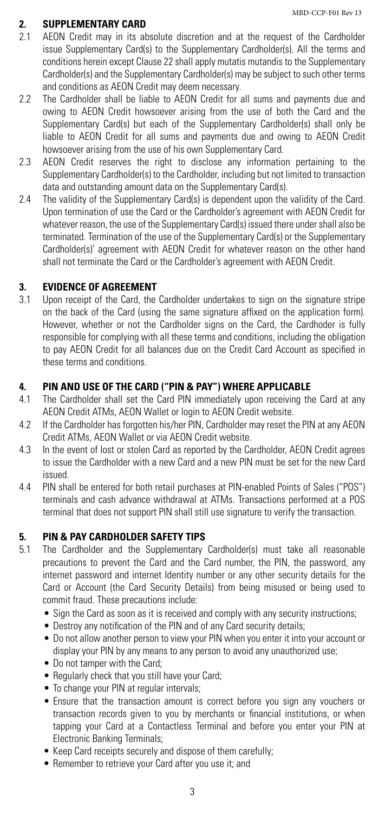# **2. SUPPLEMENTARY CARD**<br>2.1 AEON Credit may in its al

- AEON Credit may in its absolute discretion and at the request of the Cardholder issue Supplementary Card(s) to the Supplementary Cardholder(s). All the terms and conditions herein except Clause 22 shall apply mutatis mutandis to the Supplementary Cardholder(s) and the Supplementary Cardholder(s) may be subject to such other terms and conditions as AEON Credit may deem necessary.
- 2.2 The Cardholder shall be liable to AEON Credit for all sums and payments due and owing to AEON Credit howsoever arising from the use of both the Card and the Supplementary Card(s) but each of the Supplementary Cardholder(s) shall only be liable to AEON Credit for all sums and payments due and owing to AEON Credit howsoever arising from the use of his own Supplementary Card.
- 2.3 AEON Credit reserves the right to disclose any information pertaining to the Supplementary Cardholder(s) to the Cardholder, including but not limited to transaction data and outstanding amount data on the Supplementary Card(s).
- 2.4 The validity of the Supplementary Card(s) is dependent upon the validity of the Card. Upon termination of use the Card or the Cardholder's agreement with AEON Credit for whatever reason, the use of the Supplementary Card(s) issued there under shall also be terminated. Termination of the use of the Supplementary Card(s) or the Supplementary Cardholder(s)' agreement with AEON Credit for whatever reason on the other hand shall not terminate the Card or the Cardholder's agreement with AEON Credit.

# **3. EVIDENCE OF AGREEMENT**

3.1 Upon receipt of the Card, the Cardholder undertakes to sign on the signature stripe on the back of the Card (using the same signature affixed on the application form). However, whether or not the Cardholder signs on the Card, the Cardhoder is fully responsible for complying with all these terms and conditions, including the obligation to pay AEON Credit for all balances due on the Credit Card Account as specified in these terms and conditions.

# **4. PIN AND USE OF THE CARD ("PIN & PAY") WHERE APPLICABLE**

- 4.1 The Cardholder shall set the Card PIN immediately upon receiving the Card at any AEON Credit ATMs, AEON Wallet or login to AEON Credit website.
- 4.2 If the Cardholder has forgotten his/her PIN, Cardholder may reset the PIN at any AEON Credit ATMs, AEON Wallet or via AEON Credit website.
- 4.3 In the event of lost or stolen Card as reported by the Cardholder, AEON Credit agrees to issue the Cardholder with a new Card and a new PIN must be set for the new Card issued.
- 4.4 PIN shall be entered for both retail purchases at PIN-enabled Points of Sales ("POS") terminals and cash advance withdrawal at ATMs. Transactions performed at a POS terminal that does not support PIN shall still use signature to verify the transaction.

# **5. PIN & PAY CARDHOLDER SAFETY TIPS**

- 5.1 The Cardholder and the Supplementary Cardholder(s) must take all reasonable precautions to prevent the Card and the Card number, the PIN, the password, any internet password and internet Identity number or any other security details for the Card or Account (the Card Security Details) from being misused or being used to commit fraud. These precautions include:
	- Sign the Card as soon as it is received and comply with any security instructions;
	- Destroy any notification of the PIN and of any Card security details;
	- Do not allow another person to view your PIN when you enter it into your account or display your PIN by any means to any person to avoid any unauthorized use;
	- Do not tamper with the Card;
	- Regularly check that you still have your Card;
	- To change your PIN at regular intervals;
	- Ensure that the transaction amount is correct before you sign any vouchers or transaction records given to you by merchants or financial institutions, or when tapping your Card at a Contactless Terminal and before you enter your PIN at Electronic Banking Terminals;
	- Keep Card receipts securely and dispose of them carefully;
	- Remember to retrieve your Card after you use it; and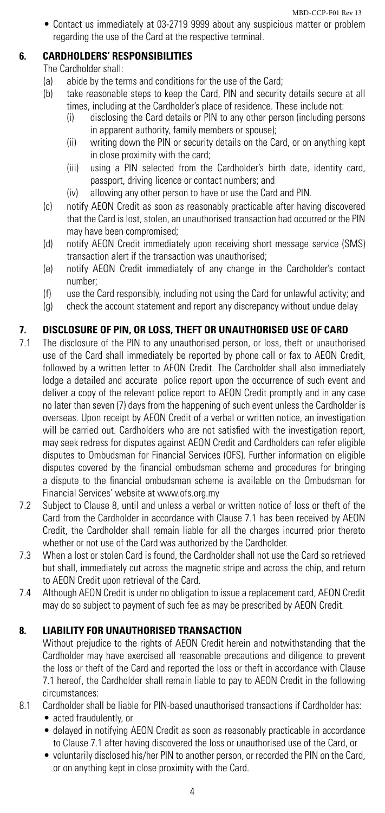• Contact us immediately at 03-2719 9999 about any suspicious matter or problem regarding the use of the Card at the respective terminal.

# **6. CARDHOLDERS' RESPONSIBILITIES**

The Cardholder shall:

- (a) abide by the terms and conditions for the use of the Card;<br>(b) take reasonable steps to keep the Card PIN and security
	- take reasonable steps to keep the Card, PIN and security details secure at all times, including at the Cardholder's place of residence. These include not:
		- (i) disclosing the Card details or PIN to any other person (including persons in apparent authority, family members or spouse);
		- (ii) writing down the PIN or security details on the Card, or on anything kept in close proximity with the card;
		- (iii) using a PIN selected from the Cardholder's birth date, identity card, passport, driving licence or contact numbers; and
		- (iv) allowing any other person to have or use the Card and PIN.
- (c) notify AEON Credit as soon as reasonably practicable after having discovered that the Card is lost, stolen, an unauthorised transaction had occurred or the PIN may have been compromised;
- (d) notify AEON Credit immediately upon receiving short message service (SMS) transaction alert if the transaction was unauthorised;
- (e) notify AEON Credit immediately of any change in the Cardholder's contact number;
- (f) use the Card responsibly, including not using the Card for unlawful activity; and
- (g) check the account statement and report any discrepancy without undue delay

# **7. DISCLOSURE OF PIN, OR LOSS, THEFT OR UNAUTHORISED USE OF CARD**

- 7.1 The disclosure of the PIN to any unauthorised person, or loss, theft or unauthorised use of the Card shall immediately be reported by phone call or fax to AEON Credit, followed by a written letter to AEON Credit. The Cardholder shall also immediately lodge a detailed and accurate police report upon the occurrence of such event and deliver a copy of the relevant police report to AEON Credit promptly and in any case no later than seven (7) days from the happening of such event unless the Cardholder is overseas. Upon receipt by AEON Credit of a verbal or written notice, an investigation will be carried out. Cardholders who are not satisfied with the investigation report, may seek redress for disputes against AEON Credit and Cardholders can refer eligible disputes to Ombudsman for Financial Services (OFS). Further information on eligible disputes covered by the financial ombudsman scheme and procedures for bringing a dispute to the financial ombudsman scheme is available on the Ombudsman for Financial Services' website at www.ofs.org.my
- 7.2 Subject to Clause 8, until and unless a verbal or written notice of loss or theft of the Card from the Cardholder in accordance with Clause 7.1 has been received by AEON Credit, the Cardholder shall remain liable for all the charges incurred prior thereto whether or not use of the Card was authorized by the Cardholder.
- 7.3 When a lost or stolen Card is found, the Cardholder shall not use the Card so retrieved but shall, immediately cut across the magnetic stripe and across the chip, and return to AEON Credit upon retrieval of the Card.
- 7.4 Although AEON Credit is under no obligation to issue a replacement card, AEON Credit may do so subject to payment of such fee as may be prescribed by AEON Credit.

# **8. LIABILITY FOR UNAUTHORISED TRANSACTION**

Without prejudice to the rights of AEON Credit herein and notwithstanding that the Cardholder may have exercised all reasonable precautions and diligence to prevent the loss or theft of the Card and reported the loss or theft in accordance with Clause 7.1 hereof, the Cardholder shall remain liable to pay to AEON Credit in the following circumstances:

- 8.1 Cardholder shall be liable for PIN-based unauthorised transactions if Cardholder has:
	- acted fraudulently, or
	- delayed in notifying AEON Credit as soon as reasonably practicable in accordance to Clause 7.1 after having discovered the loss or unauthorised use of the Card, or
	- • voluntarily disclosed his/her PIN to another person, or recorded the PIN on the Card, or on anything kept in close proximity with the Card.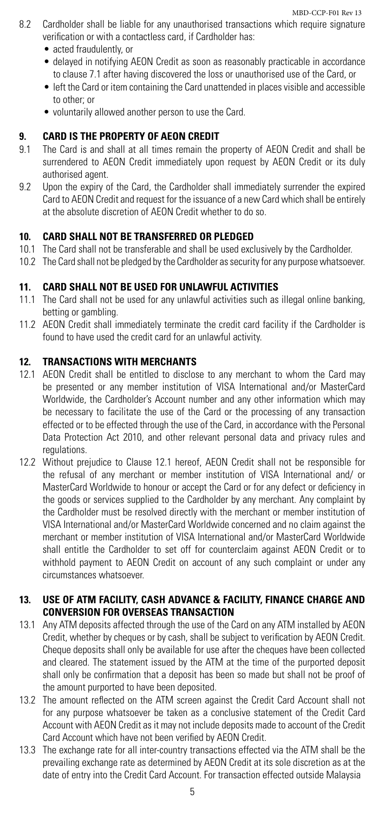- 8.2 Cardholder shall be liable for any unauthorised transactions which require signature verification or with a contactless card, if Cardholder has:
	- acted fraudulently, or
	- delayed in notifying AEON Credit as soon as reasonably practicable in accordance to clause 7.1 after having discovered the loss or unauthorised use of the Card, or
	- left the Card or item containing the Card unattended in places visible and accessible to other; or
	- voluntarily allowed another person to use the Card.

# **9. CARD IS THE PROPERTY OF AEON CREDIT**

- 9.1 The Card is and shall at all times remain the property of AEON Credit and shall be surrendered to AEON Credit immediately upon request by AEON Credit or its duly authorised agent.
- 9.2 Upon the expiry of the Card, the Cardholder shall immediately surrender the expired Card to AEON Credit and request for the issuance of a new Card which shall be entirely at the absolute discretion of AEON Credit whether to do so.

# **10. CARD SHALL NOT BE TRANSFERRED OR PLEDGED**

- 10.1 The Card shall not be transferable and shall be used exclusively by the Cardholder.
- 10.2 The Card shall not be pledged by the Cardholder as security for any purpose whatsoever.

# **11. CARD SHALL NOT BE USED FOR UNLAWFUL ACTIVITIES**

- 11.1 The Card shall not be used for any unlawful activities such as illegal online banking, betting or gambling.
- 11.2 AEON Credit shall immediately terminate the credit card facility if the Cardholder is found to have used the credit card for an unlawful activity.

# **12. TRANSACTIONS WITH MERCHANTS**

- 12.1 AEON Credit shall be entitled to disclose to any merchant to whom the Card may be presented or any member institution of VISA International and/or MasterCard Worldwide, the Cardholder's Account number and any other information which may be necessary to facilitate the use of the Card or the processing of any transaction effected or to be effected through the use of the Card, in accordance with the Personal Data Protection Act 2010, and other relevant personal data and privacy rules and regulations.
- 12.2 Without prejudice to Clause 12.1 hereof, AEON Credit shall not be responsible for the refusal of any merchant or member institution of VISA International and/ or MasterCard Worldwide to honour or accept the Card or for any defect or deficiency in the goods or services supplied to the Cardholder by any merchant. Any complaint by the Cardholder must be resolved directly with the merchant or member institution of VISA International and/or MasterCard Worldwide concerned and no claim against the merchant or member institution of VISA International and/or MasterCard Worldwide shall entitle the Cardholder to set off for counterclaim against AEON Credit or to withhold payment to AEON Credit on account of any such complaint or under any circumstances whatsoever.

# **13. USE OF ATM FACILITY, CASH ADVANCE & FACILITY, FINANCE CHARGE AND CONVERSION FOR OVERSEAS TRANSACTION**

- 13.1 Any ATM deposits affected through the use of the Card on any ATM installed by AEON Credit, whether by cheques or by cash, shall be subject to verification by AEON Credit. Cheque deposits shall only be available for use after the cheques have been collected and cleared. The statement issued by the ATM at the time of the purported deposit shall only be confirmation that a deposit has been so made but shall not be proof of the amount purported to have been deposited.
- 13.2 The amount reflected on the ATM screen against the Credit Card Account shall not for any purpose whatsoever be taken as a conclusive statement of the Credit Card Account with AEON Credit as it may not include deposits made to account of the Credit Card Account which have not been verified by AEON Credit.
- 13.3 The exchange rate for all inter-country transactions effected via the ATM shall be the prevailing exchange rate as determined by AEON Credit at its sole discretion as at the date of entry into the Credit Card Account. For transaction effected outside Malaysia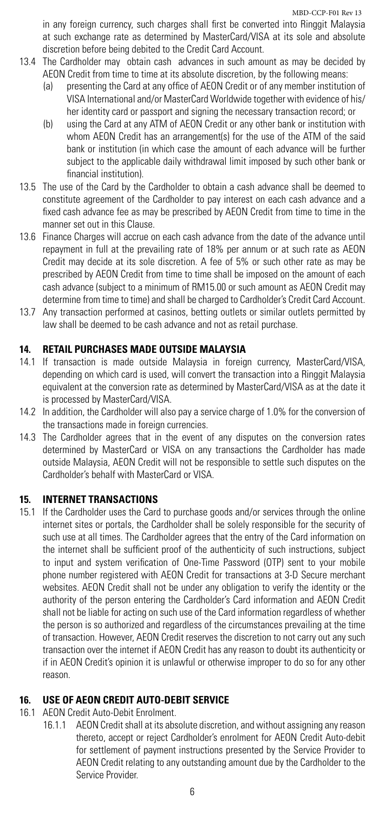in any foreign currency, such charges shall first be converted into Ringgit Malaysia at such exchange rate as determined by MasterCard/VISA at its sole and absolute discretion before being debited to the Credit Card Account.

- 13.4 The Cardholder may obtain cash advances in such amount as may be decided by AEON Credit from time to time at its absolute discretion, by the following means:
	- (a) presenting the Card at any office of AEON Credit or of any member institution of VISA International and/or MasterCard Worldwide together with evidence of his/ her identity card or passport and signing the necessary transaction record; or
	- (b) using the Card at any ATM of AEON Credit or any other bank or institution with whom AEON Credit has an arrangement(s) for the use of the ATM of the said bank or institution (in which case the amount of each advance will be further subject to the applicable daily withdrawal limit imposed by such other bank or financial institution).
- 13.5 The use of the Card by the Cardholder to obtain a cash advance shall be deemed to constitute agreement of the Cardholder to pay interest on each cash advance and a fixed cash advance fee as may be prescribed by AEON Credit from time to time in the manner set out in this Clause.
- 13.6 Finance Charges will accrue on each cash advance from the date of the advance until repayment in full at the prevailing rate of 18% per annum or at such rate as AEON Credit may decide at its sole discretion. A fee of 5% or such other rate as may be prescribed by AEON Credit from time to time shall be imposed on the amount of each cash advance (subject to a minimum of RM15.00 or such amount as AEON Credit may determine from time to time) and shall be charged to Cardholder's Credit Card Account.
- 13.7 Any transaction performed at casinos, betting outlets or similar outlets permitted by law shall be deemed to be cash advance and not as retail purchase.

# **14. RETAIL PURCHASES MADE OUTSIDE MALAYSIA**

- 14.1 If transaction is made outside Malaysia in foreign currency, MasterCard/VISA, depending on which card is used, will convert the transaction into a Ringgit Malaysia equivalent at the conversion rate as determined by MasterCard/VISA as at the date it is processed by MasterCard/VISA.
- 14.2 In addition, the Cardholder will also pay a service charge of 1.0% for the conversion of the transactions made in foreign currencies.
- 14.3 The Cardholder agrees that in the event of any disputes on the conversion rates determined by MasterCard or VISA on any transactions the Cardholder has made outside Malaysia, AEON Credit will not be responsible to settle such disputes on the Cardholder's behalf with MasterCard or VISA.

# **15. INTERNET TRANSACTIONS**

15.1 If the Cardholder uses the Card to purchase goods and/or services through the online internet sites or portals, the Cardholder shall be solely responsible for the security of such use at all times. The Cardholder agrees that the entry of the Card information on the internet shall be sufficient proof of the authenticity of such instructions, subject to input and system verification of One-Time Password (OTP) sent to your mobile phone number registered with AEON Credit for transactions at 3-D Secure merchant websites. AEON Credit shall not be under any obligation to verify the identity or the authority of the person entering the Cardholder's Card information and AEON Credit shall not be liable for acting on such use of the Card information regardless of whether the person is so authorized and regardless of the circumstances prevailing at the time of transaction. However, AEON Credit reserves the discretion to not carry out any such transaction over the internet if AEON Credit has any reason to doubt its authenticity or if in AEON Credit's opinion it is unlawful or otherwise improper to do so for any other reason.

# **16. USE OF AEON CREDIT AUTO-DEBIT SERVICE**

- 16.1 AEON Credit Auto-Debit Enrolment.
	- 16.1.1 AEON Credit shall at its absolute discretion, and without assigning any reason thereto, accept or reject Cardholder's enrolment for AEON Credit Auto-debit for settlement of payment instructions presented by the Service Provider to AEON Credit relating to any outstanding amount due by the Cardholder to the Service Provider.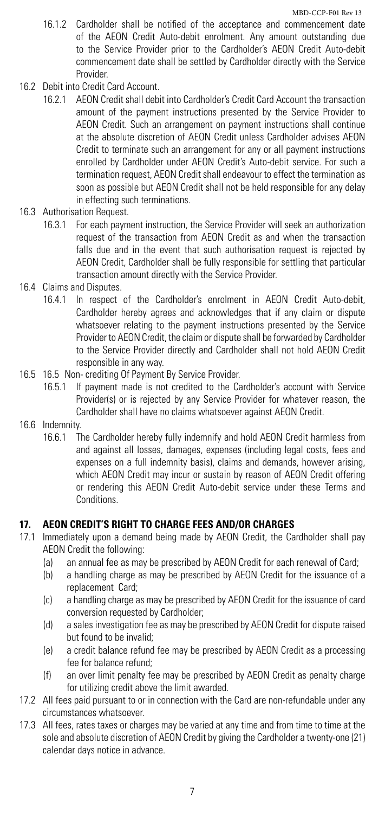- 16.1.2 Cardholder shall be notified of the acceptance and commencement date of the AEON Credit Auto-debit enrolment. Any amount outstanding due to the Service Provider prior to the Cardholder's AEON Credit Auto-debit commencement date shall be settled by Cardholder directly with the Service Provider.
- 16.2 Debit into Credit Card Account.
	- 16.2.1 AEON Credit shall debit into Cardholder's Credit Card Account the transaction amount of the payment instructions presented by the Service Provider to AEON Credit. Such an arrangement on payment instructions shall continue at the absolute discretion of AEON Credit unless Cardholder advises AEON Credit to terminate such an arrangement for any or all payment instructions enrolled by Cardholder under AEON Credit's Auto-debit service. For such a termination request, AEON Credit shall endeavour to effect the termination as soon as possible but AEON Credit shall not be held responsible for any delay in effecting such terminations.
- 16.3 Authorisation Request.
	- 16.3.1 For each payment instruction, the Service Provider will seek an authorization request of the transaction from AEON Credit as and when the transaction falls due and in the event that such authorisation request is rejected by AEON Credit, Cardholder shall be fully responsible for settling that particular transaction amount directly with the Service Provider.
- 16.4 Claims and Disputes.
	- 16.4.1 In respect of the Cardholder's enrolment in AEON Credit Auto-debit, Cardholder hereby agrees and acknowledges that if any claim or dispute whatsoever relating to the payment instructions presented by the Service Provider to AEON Credit, the claim or dispute shall be forwarded by Cardholder to the Service Provider directly and Cardholder shall not hold AEON Credit responsible in any way.
- 16.5 16.5 Non- crediting Of Payment By Service Provider.
	- 16.5.1 If payment made is not credited to the Cardholder's account with Service Provider(s) or is rejected by any Service Provider for whatever reason, the Cardholder shall have no claims whatsoever against AEON Credit.
- 16.6 Indemnity.
	- 16.6.1 The Cardholder hereby fully indemnify and hold AEON Credit harmless from and against all losses, damages, expenses (including legal costs, fees and expenses on a full indemnity basis), claims and demands, however arising, which AEON Credit may incur or sustain by reason of AEON Credit offering or rendering this AEON Credit Auto-debit service under these Terms and Conditions.

#### **17. AEON CREDIT'S RIGHT TO CHARGE FEES AND/OR CHARGES**

- 17.1 Immediately upon a demand being made by AEON Credit, the Cardholder shall pay AEON Credit the following:
	- (a) an annual fee as may be prescribed by AEON Credit for each renewal of Card;
	- (b) a handling charge as may be prescribed by AEON Credit for the issuance of a replacement Card;
	- (c) a handling charge as may be prescribed by AEON Credit for the issuance of card conversion requested by Cardholder;
	- (d) a sales investigation fee as may be prescribed by AEON Credit for dispute raised but found to be invalid;
	- (e) a credit balance refund fee may be prescribed by AEON Credit as a processing fee for balance refund;
	- (f) an over limit penalty fee may be prescribed by AEON Credit as penalty charge for utilizing credit above the limit awarded.
- 17.2 All fees paid pursuant to or in connection with the Card are non-refundable under any circumstances whatsoever.
- 17.3 All fees, rates taxes or charges may be varied at any time and from time to time at the sole and absolute discretion of AEON Credit by giving the Cardholder a twenty-one (21) calendar days notice in advance.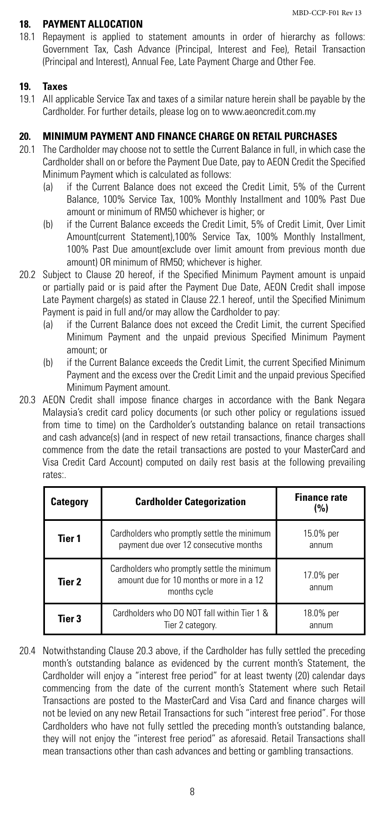#### **18. PAYMENT ALLOCATION**

18.1 Repayment is applied to statement amounts in order of hierarchy as follows: Government Tax, Cash Advance (Principal, Interest and Fee), Retail Transaction (Principal and Interest), Annual Fee, Late Payment Charge and Other Fee.

#### **19. Taxes**

19.1 All applicable Service Tax and taxes of a similar nature herein shall be payable by the Cardholder. For further details, please log on to www.aeoncredit.com.my

# **20. MINIMUM PAYMENT AND FINANCE CHARGE ON RETAIL PURCHASES**

- 20.1 The Cardholder may choose not to settle the Current Balance in full, in which case the Cardholder shall on or before the Payment Due Date, pay to AEON Credit the Specified Minimum Payment which is calculated as follows:
	- (a) if the Current Balance does not exceed the Credit Limit, 5% of the Current Balance, 100% Service Tax, 100% Monthly Installment and 100% Past Due amount or minimum of RM50 whichever is higher; or
	- (b) if the Current Balance exceeds the Credit Limit, 5% of Credit Limit, Over Limit Amount(current Statement),100% Service Tax, 100% Monthly Installment, 100% Past Due amount(exclude over limit amount from previous month due amount) OR minimum of RM50; whichever is higher.
- 20.2 Subject to Clause 20 hereof, if the Specified Minimum Payment amount is unpaid or partially paid or is paid after the Payment Due Date, AEON Credit shall impose Late Payment charge(s) as stated in Clause 22.1 hereof, until the Specified Minimum Payment is paid in full and/or may allow the Cardholder to pay:
	- (a) if the Current Balance does not exceed the Credit Limit, the current Specified Minimum Payment and the unpaid previous Specified Minimum Payment amount; or
	- (b) if the Current Balance exceeds the Credit Limit, the current Specified Minimum Payment and the excess over the Credit Limit and the unpaid previous Specified Minimum Payment amount.
- 20.3 AEON Credit shall impose finance charges in accordance with the Bank Negara Malaysia's credit card policy documents (or such other policy or regulations issued from time to time) on the Cardholder's outstanding balance on retail transactions and cash advance(s) (and in respect of new retail transactions, finance charges shall commence from the date the retail transactions are posted to your MasterCard and Visa Credit Card Account) computed on daily rest basis at the following prevailing rates:.

| Category | <b>Cardholder Categorization</b>                                                                        | <b>Finance rate</b><br>(%) |
|----------|---------------------------------------------------------------------------------------------------------|----------------------------|
| Tier 1   | Cardholders who promptly settle the minimum<br>payment due over 12 consecutive months                   | 15.0% per<br>annum         |
| Tier 2   | Cardholders who promptly settle the minimum<br>amount due for 10 months or more in a 12<br>months cycle | 17.0% per<br>annum         |
| Tier 3   | Cardholders who DO NOT fall within Tier 1 &<br>Tier 2 category.                                         | 18.0% per<br>annum         |

20.4 Notwithstanding Clause 20.3 above, if the Cardholder has fully settled the preceding month's outstanding balance as evidenced by the current month's Statement, the Cardholder will enjoy a "interest free period" for at least twenty (20) calendar days commencing from the date of the current month's Statement where such Retail Transactions are posted to the MasterCard and Visa Card and finance charges will not be levied on any new Retail Transactions for such "interest free period". For those Cardholders who have not fully settled the preceding month's outstanding balance, they will not enjoy the "interest free period" as aforesaid. Retail Transactions shall mean transactions other than cash advances and betting or gambling transactions.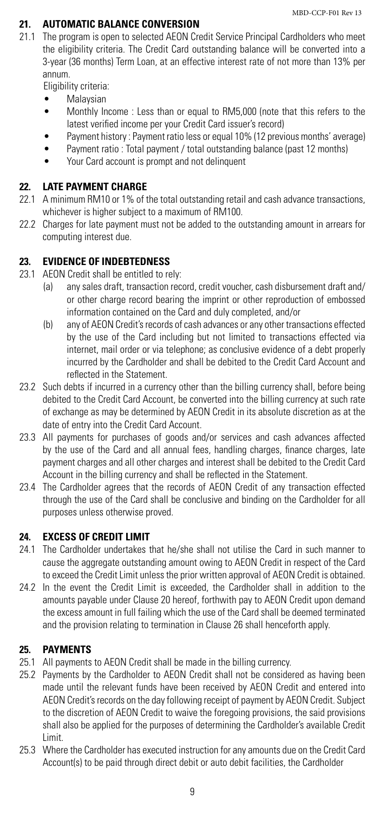# **21. AUTOMATIC BALANCE CONVERSION**

21.1 The program is open to selected AEON Credit Service Principal Cardholders who meet the eligibility criteria. The Credit Card outstanding balance will be converted into a 3-year (36 months) Term Loan, at an effective interest rate of not more than 13% per annum.

Eligibility criteria:

- **Malaysian**
- Monthly Income : Less than or equal to RM5,000 (note that this refers to the latest verified income per your Credit Card issuer's record)
- Payment history: Payment ratio less or equal 10% (12 previous months' average)
- Payment ratio : Total payment / total outstanding balance (past 12 months)
- Your Card account is prompt and not delinquent

# **22. LATE PAYMENT CHARGE**

- 22.1 A minimum RM10 or 1% of the total outstanding retail and cash advance transactions, whichever is higher subject to a maximum of RM100.
- 22.2 Charges for late payment must not be added to the outstanding amount in arrears for computing interest due.

# **23. EVIDENCE OF INDEBTEDNESS**

- 23.1 AEON Credit shall be entitled to rely:
	- (a) any sales draft, transaction record, credit voucher, cash disbursement draft and/ or other charge record bearing the imprint or other reproduction of embossed information contained on the Card and duly completed, and/or
	- (b) any of AEON Credit's records of cash advances or any other transactions effected by the use of the Card including but not limited to transactions effected via internet, mail order or via telephone; as conclusive evidence of a debt properly incurred by the Cardholder and shall be debited to the Credit Card Account and reflected in the Statement.
- 23.2 Such debts if incurred in a currency other than the billing currency shall, before being debited to the Credit Card Account, be converted into the billing currency at such rate of exchange as may be determined by AEON Credit in its absolute discretion as at the date of entry into the Credit Card Account.
- 23.3 All payments for purchases of goods and/or services and cash advances affected by the use of the Card and all annual fees, handling charges, finance charges, late payment charges and all other charges and interest shall be debited to the Credit Card Account in the billing currency and shall be reflected in the Statement.
- 23.4 The Cardholder agrees that the records of AEON Credit of any transaction effected through the use of the Card shall be conclusive and binding on the Cardholder for all purposes unless otherwise proved.

# **24. EXCESS OF CREDIT LIMIT**

- 24.1 The Cardholder undertakes that he/she shall not utilise the Card in such manner to cause the aggregate outstanding amount owing to AEON Credit in respect of the Card to exceed the Credit Limit unless the prior written approval of AEON Credit is obtained.
- 24.2 In the event the Credit Limit is exceeded, the Cardholder shall in addition to the amounts payable under Clause 20 hereof, forthwith pay to AEON Credit upon demand the excess amount in full failing which the use of the Card shall be deemed terminated and the provision relating to termination in Clause 26 shall henceforth apply.

# **25. PAYMENTS**

- 25.1 All payments to AEON Credit shall be made in the billing currency.
- 25.2 Payments by the Cardholder to AEON Credit shall not be considered as having been made until the relevant funds have been received by AEON Credit and entered into AEON Credit's records on the day following receipt of payment by AEON Credit. Subject to the discretion of AEON Credit to waive the foregoing provisions, the said provisions shall also be applied for the purposes of determining the Cardholder's available Credit Limit.
- 25.3 Where the Cardholder has executed instruction for any amounts due on the Credit Card Account(s) to be paid through direct debit or auto debit facilities, the Cardholder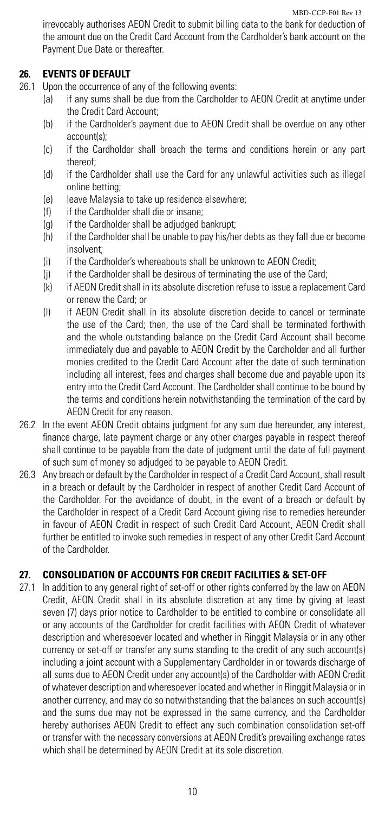irrevocably authorises AEON Credit to submit billing data to the bank for deduction of the amount due on the Credit Card Account from the Cardholder's bank account on the Payment Due Date or thereafter.

# **26. EVENTS OF DEFAULT**

- 26.1 Upon the occurrence of any of the following events:
	- (a) if any sums shall be due from the Cardholder to AEON Credit at anytime under the Credit Card Account;
	- (b) if the Cardholder's payment due to AEON Credit shall be overdue on any other account(s);
	- (c) if the Cardholder shall breach the terms and conditions herein or any part thereof;
	- (d) if the Cardholder shall use the Card for any unlawful activities such as illegal online betting;
	- (e) leave Malaysia to take up residence elsewhere;
	- (f) if the Cardholder shall die or insane;
	- (g) if the Cardholder shall be adjudged bankrupt;
	- (h) if the Cardholder shall be unable to pay his/her debts as they fall due or become insolvent;
	- (i) if the Cardholder's whereabouts shall be unknown to AEON Credit;
	- (j) if the Cardholder shall be desirous of terminating the use of the Card;
	- (k) if AEON Credit shall in its absolute discretion refuse to issue a replacement Card or renew the Card; or
	- (l) if AEON Credit shall in its absolute discretion decide to cancel or terminate the use of the Card; then, the use of the Card shall be terminated forthwith and the whole outstanding balance on the Credit Card Account shall become immediately due and payable to AEON Credit by the Cardholder and all further monies credited to the Credit Card Account after the date of such termination including all interest, fees and charges shall become due and payable upon its entry into the Credit Card Account. The Cardholder shall continue to be bound by the terms and conditions herein notwithstanding the termination of the card by AEON Credit for any reason.
- 26.2 In the event AEON Credit obtains judgment for any sum due hereunder, any interest, finance charge, late payment charge or any other charges payable in respect thereof shall continue to be payable from the date of judgment until the date of full payment of such sum of money so adjudged to be payable to AEON Credit.
- 26.3 Any breach or default by the Cardholder in respect of a Credit Card Account, shall result in a breach or default by the Cardholder in respect of another Credit Card Account of the Cardholder. For the avoidance of doubt, in the event of a breach or default by the Cardholder in respect of a Credit Card Account giving rise to remedies hereunder in favour of AEON Credit in respect of such Credit Card Account, AEON Credit shall further be entitled to invoke such remedies in respect of any other Credit Card Account of the Cardholder.

#### **27. CONSOLIDATION OF ACCOUNTS FOR CREDIT FACILITIES & SET-OFF**

27.1 In addition to any general right of set-off or other rights conferred by the law on AEON Credit, AEON Credit shall in its absolute discretion at any time by giving at least seven (7) days prior notice to Cardholder to be entitled to combine or consolidate all or any accounts of the Cardholder for credit facilities with AEON Credit of whatever description and wheresoever located and whether in Ringgit Malaysia or in any other currency or set-off or transfer any sums standing to the credit of any such account(s) including a joint account with a Supplementary Cardholder in or towards discharge of all sums due to AEON Credit under any account(s) of the Cardholder with AEON Credit of whatever description and wheresoever located and whether in Ringgit Malaysia or in another currency, and may do so notwithstanding that the balances on such account(s) and the sums due may not be expressed in the same currency, and the Cardholder hereby authorises AEON Credit to effect any such combination consolidation set-off or transfer with the necessary conversions at AEON Credit's prevailing exchange rates which shall be determined by AEON Credit at its sole discretion.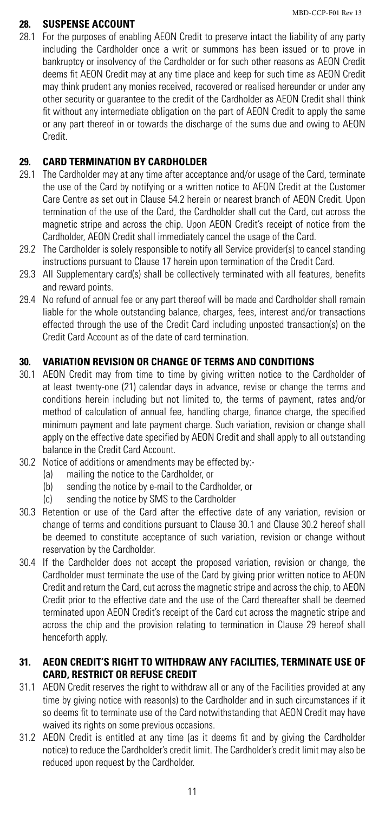#### **28. SUSPENSE ACCOUNT**

28.1 For the purposes of enabling AEON Credit to preserve intact the liability of any party including the Cardholder once a writ or summons has been issued or to prove in bankruptcy or insolvency of the Cardholder or for such other reasons as AEON Credit deems fit AEON Credit may at any time place and keep for such time as AEON Credit may think prudent any monies received, recovered or realised hereunder or under any other security or guarantee to the credit of the Cardholder as AEON Credit shall think fit without any intermediate obligation on the part of AEON Credit to apply the same or any part thereof in or towards the discharge of the sums due and owing to AEON Credit.

# **29. CARD TERMINATION BY CARDHOLDER**

- 29.1 The Cardholder may at any time after acceptance and/or usage of the Card, terminate the use of the Card by notifying or a written notice to AEON Credit at the Customer Care Centre as set out in Clause 54.2 herein or nearest branch of AEON Credit. Upon termination of the use of the Card, the Cardholder shall cut the Card, cut across the magnetic stripe and across the chip. Upon AEON Credit's receipt of notice from the Cardholder, AEON Credit shall immediately cancel the usage of the Card.
- 29.2 The Cardholder is solely responsible to notify all Service provider(s) to cancel standing instructions pursuant to Clause 17 herein upon termination of the Credit Card.
- 29.3 All Supplementary card(s) shall be collectively terminated with all features, benefits and reward points.
- 29.4 No refund of annual fee or any part thereof will be made and Cardholder shall remain liable for the whole outstanding balance, charges, fees, interest and/or transactions effected through the use of the Credit Card including unposted transaction(s) on the Credit Card Account as of the date of card termination.

# **30. VARIATION REVISION OR CHANGE OF TERMS AND CONDITIONS**

- 30.1 AEON Credit may from time to time by giving written notice to the Cardholder of at least twenty-one (21) calendar days in advance, revise or change the terms and conditions herein including but not limited to, the terms of payment, rates and/or method of calculation of annual fee, handling charge, finance charge, the specified minimum payment and late payment charge. Such variation, revision or change shall apply on the effective date specified by AEON Credit and shall apply to all outstanding balance in the Credit Card Account.
- 30.2 Notice of additions or amendments may be effected by:-
	- (a) mailing the notice to the Cardholder, or
	- (b) sending the notice by e-mail to the Cardholder, or
	- (c) sending the notice by SMS to the Cardholder
- 30.3 Retention or use of the Card after the effective date of any variation, revision or change of terms and conditions pursuant to Clause 30.1 and Clause 30.2 hereof shall be deemed to constitute acceptance of such variation, revision or change without reservation by the Cardholder.
- 30.4 If the Cardholder does not accept the proposed variation, revision or change, the Cardholder must terminate the use of the Card by giving prior written notice to AEON Credit and return the Card, cut across the magnetic stripe and across the chip, to AEON Credit prior to the effective date and the use of the Card thereafter shall be deemed terminated upon AEON Credit's receipt of the Card cut across the magnetic stripe and across the chip and the provision relating to termination in Clause 29 hereof shall henceforth apply.

# **31. AEON CREDIT'S RIGHT TO WITHDRAW ANY FACILITIES, TERMINATE USE OF CARD, RESTRICT OR REFUSE CREDIT**

- 31.1 AEON Credit reserves the right to withdraw all or any of the Facilities provided at any time by giving notice with reason(s) to the Cardholder and in such circumstances if it so deems fit to terminate use of the Card notwithstanding that AEON Credit may have waived its rights on some previous occasions.
- 31.2 AEON Credit is entitled at any time (as it deems fit and by giving the Cardholder notice) to reduce the Cardholder's credit limit. The Cardholder's credit limit may also be reduced upon request by the Cardholder.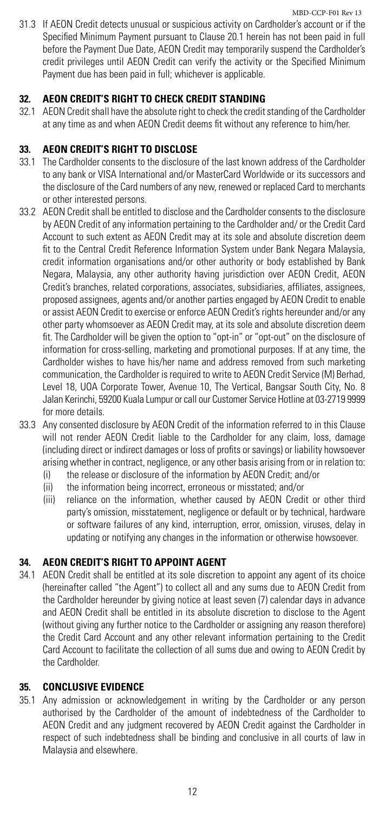31.3 If AEON Credit detects unusual or suspicious activity on Cardholder's account or if the Specified Minimum Payment pursuant to Clause 20.1 herein has not been paid in full before the Payment Due Date, AEON Credit may temporarily suspend the Cardholder's credit privileges until AEON Credit can verify the activity or the Specified Minimum Payment due has been paid in full; whichever is applicable.

# **32. AEON CREDIT'S RIGHT TO CHECK CREDIT STANDING**

32.1 AEON Credit shall have the absolute right to check the credit standing of the Cardholder at any time as and when AEON Credit deems fit without any reference to him/her.

# **33. AEON CREDIT'S RIGHT TO DISCLOSE**

- 33.1 The Cardholder consents to the disclosure of the last known address of the Cardholder to any bank or VISA International and/or MasterCard Worldwide or its successors and the disclosure of the Card numbers of any new, renewed or replaced Card to merchants or other interested persons.
- 33.2 AEON Credit shall be entitled to disclose and the Cardholder consents to the disclosure by AEON Credit of any information pertaining to the Cardholder and/ or the Credit Card Account to such extent as AEON Credit may at its sole and absolute discretion deem fit to the Central Credit Reference Information System under Bank Negara Malaysia, credit information organisations and/or other authority or body established by Bank Negara, Malaysia, any other authority having jurisdiction over AEON Credit, AEON Credit's branches, related corporations, associates, subsidiaries, affiliates, assignees, proposed assignees, agents and/or another parties engaged by AEON Credit to enable or assist AEON Credit to exercise or enforce AEON Credit's rights hereunder and/or any other party whomsoever as AEON Credit may, at its sole and absolute discretion deem fit. The Cardholder will be given the option to "opt-in" or "opt-out" on the disclosure of information for cross-selling, marketing and promotional purposes. If at any time, the Cardholder wishes to have his/her name and address removed from such marketing communication, the Cardholder is required to write to AEON Credit Service (M) Berhad, Level 18, UOA Corporate Tower, Avenue 10, The Vertical, Bangsar South City, No. 8 Jalan Kerinchi, 59200 Kuala Lumpur or call our Customer Service Hotline at 03-2719 9999 for more details.
- 33.3 Any consented disclosure by AEON Credit of the information referred to in this Clause will not render AEON Credit liable to the Cardholder for any claim, loss, damage (including direct or indirect damages or loss of profits or savings) or liability howsoever arising whether in contract, negligence, or any other basis arising from or in relation to:
	- (i) the release or disclosure of the information by AEON Credit; and/or
	- (ii) the information being incorrect, erroneous or misstated; and/or
	- (iii) reliance on the information, whether caused by AEON Credit or other third party's omission, misstatement, negligence or default or by technical, hardware or software failures of any kind, interruption, error, omission, viruses, delay in updating or notifying any changes in the information or otherwise howsoever.

# **34. AEON CREDIT'S RIGHT TO APPOINT AGENT**

34.1 AEON Credit shall be entitled at its sole discretion to appoint any agent of its choice (hereinafter called "the Agent") to collect all and any sums due to AEON Credit from the Cardholder hereunder by giving notice at least seven (7) calendar days in advance and AEON Credit shall be entitled in its absolute discretion to disclose to the Agent (without giving any further notice to the Cardholder or assigning any reason therefore) the Credit Card Account and any other relevant information pertaining to the Credit Card Account to facilitate the collection of all sums due and owing to AEON Credit by the Cardholder.

# **35. CONCLUSIVE EVIDENCE**

35.1 Any admission or acknowledgement in writing by the Cardholder or any person authorised by the Cardholder of the amount of indebtedness of the Cardholder to AEON Credit and any judgment recovered by AEON Credit against the Cardholder in respect of such indebtedness shall be binding and conclusive in all courts of law in Malaysia and elsewhere.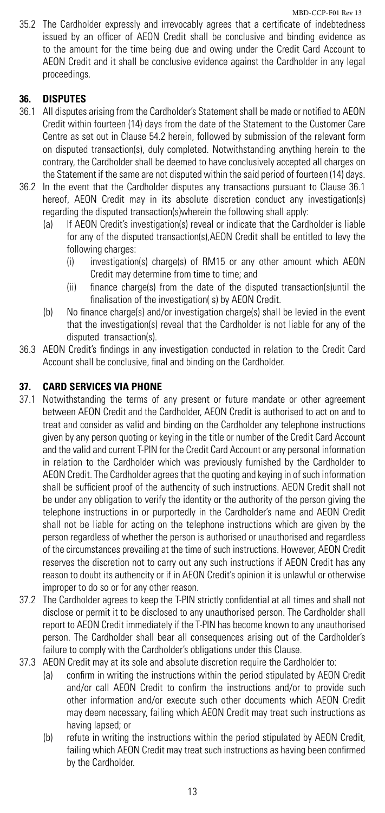35.2 The Cardholder expressly and irrevocably agrees that a certificate of indebtedness issued by an officer of AEON Credit shall be conclusive and binding evidence as to the amount for the time being due and owing under the Credit Card Account to AEON Credit and it shall be conclusive evidence against the Cardholder in any legal proceedings.

# **36. DISPUTES**

- 36.1 All disputes arising from the Cardholder's Statement shall be made or notified to AEON Credit within fourteen (14) days from the date of the Statement to the Customer Care Centre as set out in Clause 54.2 herein, followed by submission of the relevant form on disputed transaction(s), duly completed. Notwithstanding anything herein to the contrary, the Cardholder shall be deemed to have conclusively accepted all charges on the Statement if the same are not disputed within the said period of fourteen (14) days.
- 36.2 In the event that the Cardholder disputes any transactions pursuant to Clause 36.1 hereof, AEON Credit may in its absolute discretion conduct any investigation(s) regarding the disputed transaction(s)wherein the following shall apply:
	- (a) If AEON Credit's investigation(s) reveal or indicate that the Cardholder is liable for any of the disputed transaction(s),AEON Credit shall be entitled to levy the following charges:
		- (i) investigation(s) charge(s) of RM15 or any other amount which AEON Credit may determine from time to time; and
		- (ii) finance charge(s) from the date of the disputed transaction(s)until the finalisation of the investigation( s) by AEON Credit.
	- (b) No finance charge(s) and/or investigation charge(s) shall be levied in the event that the investigation(s) reveal that the Cardholder is not liable for any of the disputed transaction(s).
- 36.3 AEON Credit's findings in any investigation conducted in relation to the Credit Card Account shall be conclusive, final and binding on the Cardholder.

# **37. CARD SERVICES VIA PHONE**

- 37.1 Notwithstanding the terms of any present or future mandate or other agreement between AEON Credit and the Cardholder, AEON Credit is authorised to act on and to treat and consider as valid and binding on the Cardholder any telephone instructions given by any person quoting or keying in the title or number of the Credit Card Account and the valid and current T-PIN for the Credit Card Account or any personal information in relation to the Cardholder which was previously furnished by the Cardholder to AEON Credit. The Cardholder agrees that the quoting and keying in of such information shall be sufficient proof of the authencity of such instructions. AEON Credit shall not be under any obligation to verify the identity or the authority of the person giving the telephone instructions in or purportedly in the Cardholder's name and AEON Credit shall not be liable for acting on the telephone instructions which are given by the person regardless of whether the person is authorised or unauthorised and regardless of the circumstances prevailing at the time of such instructions. However, AEON Credit reserves the discretion not to carry out any such instructions if AEON Credit has any reason to doubt its authencity or if in AEON Credit's opinion it is unlawful or otherwise improper to do so or for any other reason.
- 37.2 The Cardholder agrees to keep the T-PIN strictly confidential at all times and shall not disclose or permit it to be disclosed to any unauthorised person. The Cardholder shall report to AEON Credit immediately if the T-PIN has become known to any unauthorised person. The Cardholder shall bear all consequences arising out of the Cardholder's failure to comply with the Cardholder's obligations under this Clause.
- 37.3 AEON Credit may at its sole and absolute discretion require the Cardholder to:
	- (a) confirm in writing the instructions within the period stipulated by AEON Credit and/or call AEON Credit to confirm the instructions and/or to provide such other information and/or execute such other documents which AEON Credit may deem necessary, failing which AEON Credit may treat such instructions as having lapsed; or
	- (b) refute in writing the instructions within the period stipulated by AEON Credit, failing which AEON Credit may treat such instructions as having been confirmed by the Cardholder.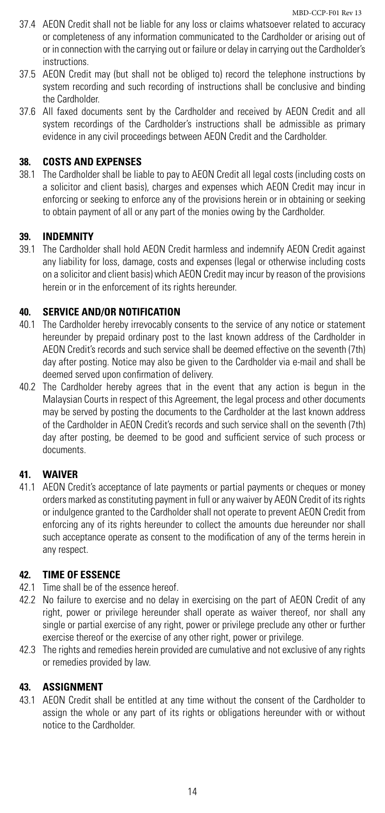- 37.4 AEON Credit shall not be liable for any loss or claims whatsoever related to accuracy or completeness of any information communicated to the Cardholder or arising out of or in connection with the carrying out or failure or delay in carrying out the Cardholder's **instructions**
- 37.5 AEON Credit may (but shall not be obliged to) record the telephone instructions by system recording and such recording of instructions shall be conclusive and binding the Cardholder.
- 37.6 All faxed documents sent by the Cardholder and received by AEON Credit and all system recordings of the Cardholder's instructions shall be admissible as primary evidence in any civil proceedings between AEON Credit and the Cardholder.

#### **38. COSTS AND EXPENSES**

38.1 The Cardholder shall be liable to pay to AEON Credit all legal costs (including costs on a solicitor and client basis), charges and expenses which AEON Credit may incur in enforcing or seeking to enforce any of the provisions herein or in obtaining or seeking to obtain payment of all or any part of the monies owing by the Cardholder.

#### **39. INDEMNITY**

39.1 The Cardholder shall hold AEON Credit harmless and indemnify AEON Credit against any liability for loss, damage, costs and expenses (legal or otherwise including costs on a solicitor and client basis) which AEON Credit may incur by reason of the provisions herein or in the enforcement of its rights hereunder.

#### **40. SERVICE AND/OR NOTIFICATION**

- 40.1 The Cardholder hereby irrevocably consents to the service of any notice or statement hereunder by prepaid ordinary post to the last known address of the Cardholder in AEON Credit's records and such service shall be deemed effective on the seventh (7th) day after posting. Notice may also be given to the Cardholder via e-mail and shall be deemed served upon confirmation of delivery.
- 40.2 The Cardholder hereby agrees that in the event that any action is begun in the Malaysian Courts in respect of this Agreement, the legal process and other documents may be served by posting the documents to the Cardholder at the last known address of the Cardholder in AEON Credit's records and such service shall on the seventh (7th) day after posting, be deemed to be good and sufficient service of such process or documents.

# **41. WAIVER**

41.1 AEON Credit's acceptance of late payments or partial payments or cheques or money orders marked as constituting payment in full or any waiver by AEON Credit of its rights or indulgence granted to the Cardholder shall not operate to prevent AEON Credit from enforcing any of its rights hereunder to collect the amounts due hereunder nor shall such acceptance operate as consent to the modification of any of the terms herein in any respect.

#### **42. TIME OF ESSENCE**

- 42.1 Time shall be of the essence hereof.
- 42.2 No failure to exercise and no delay in exercising on the part of AEON Credit of any right, power or privilege hereunder shall operate as waiver thereof, nor shall any single or partial exercise of any right, power or privilege preclude any other or further exercise thereof or the exercise of any other right, power or privilege.
- 42.3 The rights and remedies herein provided are cumulative and not exclusive of any rights or remedies provided by law.

#### **43. ASSIGNMENT**

43.1 AEON Credit shall be entitled at any time without the consent of the Cardholder to assign the whole or any part of its rights or obligations hereunder with or without notice to the Cardholder.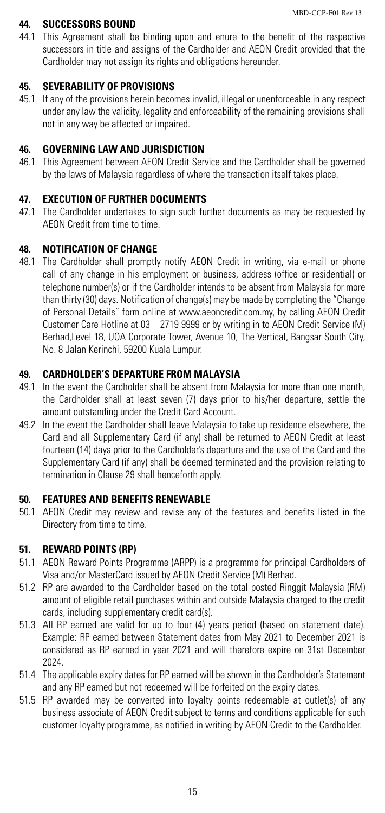#### **44. SUCCESSORS BOUND**

44.1 This Agreement shall be binding upon and enure to the benefit of the respective successors in title and assigns of the Cardholder and AEON Credit provided that the Cardholder may not assign its rights and obligations hereunder.

#### **45. SEVERABILITY OF PROVISIONS**

45.1 If any of the provisions herein becomes invalid, illegal or unenforceable in any respect under any law the validity, legality and enforceability of the remaining provisions shall not in any way be affected or impaired.

# **46. GOVERNING LAW AND JURISDICTION**

46.1 This Agreement between AEON Credit Service and the Cardholder shall be governed by the laws of Malaysia regardless of where the transaction itself takes place.

# **47. EXECUTION OF FURTHER DOCUMENTS**

47.1 The Cardholder undertakes to sign such further documents as may be requested by AEON Credit from time to time.

### **48. NOTIFICATION OF CHANGE**

48.1 The Cardholder shall promptly notify AEON Credit in writing, via e-mail or phone call of any change in his employment or business, address (office or residential) or telephone number(s) or if the Cardholder intends to be absent from Malaysia for more than thirty (30) days. Notification of change(s) may be made by completing the "Change of Personal Details" form online at www.aeoncredit.com.my, by calling AEON Credit Customer Care Hotline at 03 – 2719 9999 or by writing in to AEON Credit Service (M) Berhad,Level 18, UOA Corporate Tower, Avenue 10, The Vertical, Bangsar South City, No. 8 Jalan Kerinchi, 59200 Kuala Lumpur.

# **49. CARDHOLDER'S DEPARTURE FROM MALAYSIA**

- 49.1 In the event the Cardholder shall be absent from Malaysia for more than one month, the Cardholder shall at least seven (7) days prior to his/her departure, settle the amount outstanding under the Credit Card Account.
- 49.2 In the event the Cardholder shall leave Malaysia to take up residence elsewhere, the Card and all Supplementary Card (if any) shall be returned to AEON Credit at least fourteen (14) days prior to the Cardholder's departure and the use of the Card and the Supplementary Card (if any) shall be deemed terminated and the provision relating to termination in Clause 29 shall henceforth apply.

# **50. FEATURES AND BENEFITS RENEWABLE**

50.1 AEON Credit may review and revise any of the features and benefits listed in the Directory from time to time.

### **51. REWARD POINTS (RP)**

- 51.1 AEON Reward Points Programme (ARPP) is a programme for principal Cardholders of Visa and/or MasterCard issued by AEON Credit Service (M) Berhad.
- 51.2 RP are awarded to the Cardholder based on the total posted Ringgit Malaysia (RM) amount of eligible retail purchases within and outside Malaysia charged to the credit cards, including supplementary credit card(s).
- 51.3 All RP earned are valid for up to four (4) years period (based on statement date). Example: RP earned between Statement dates from May 2021 to December 2021 is considered as RP earned in year 2021 and will therefore expire on 31st December 2024.
- 51.4 The applicable expiry dates for RP earned will be shown in the Cardholder's Statement and any RP earned but not redeemed will be forfeited on the expiry dates.
- 51.5 RP awarded may be converted into loyalty points redeemable at outlet(s) of any business associate of AEON Credit subject to terms and conditions applicable for such customer loyalty programme, as notified in writing by AEON Credit to the Cardholder.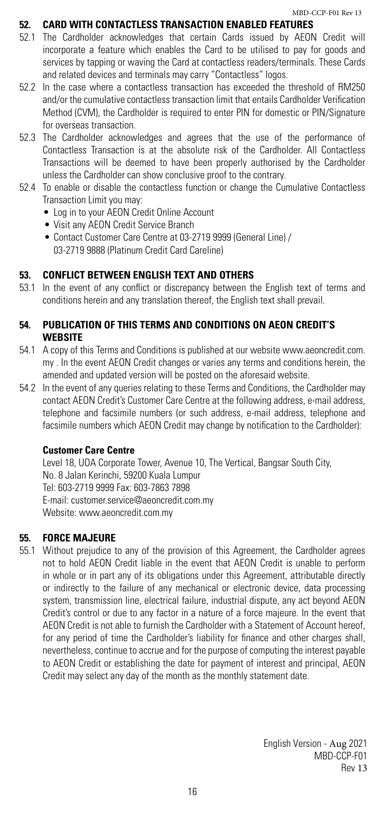# **52. CARD WITH CONTACTLESS TRANSACTION ENABLED FEATURES**

- 52.1 The Cardholder acknowledges that certain Cards issued by AEON Credit will incorporate a feature which enables the Card to be utilised to pay for goods and services by tapping or waving the Card at contactless readers/terminals. These Cards and related devices and terminals may carry "Contactless" logos.
- 52.2 In the case where a contactless transaction has exceeded the threshold of RM250 and/or the cumulative contactless transaction limit that entails Cardholder Verification Method (CVM), the Cardholder is required to enter PIN for domestic or PIN/Signature for overseas transaction.
- 52.3 The Cardholder acknowledges and agrees that the use of the performance of Contactless Transaction is at the absolute risk of the Cardholder. All Contactless Transactions will be deemed to have been properly authorised by the Cardholder unless the Cardholder can show conclusive proof to the contrary.
- 52.4 To enable or disable the contactless function or change the Cumulative Contactless Transaction Limit you may:
	- **•**  Log in to your AEON Credit Online Account
	- • Visit any AEON Credit Service Branch
	- • Contact Customer Care Centre at 03-2719 9999 (General Line) / 03-2719 9888 (Platinum Credit Card Careline)

#### **53. CONFLICT BETWEEN ENGLISH TEXT AND OTHERS**

53.1 In the event of any conflict or discrepancy between the English text of terms and conditions herein and any translation thereof, the English text shall prevail.

# **54. PUBLICATION OF THIS TERMS AND CONDITIONS ON AEON CREDIT'S WEBSITE**

- 54.1 A copy of this Terms and Conditions is published at our website www.aeoncredit.com. my . In the event AEON Credit changes or varies any terms and conditions herein, the amended and updated version will be posted on the aforesaid website.
- 54.2 In the event of any queries relating to these Terms and Conditions, the Cardholder may contact AEON Credit's Customer Care Centre at the following address, e-mail address, telephone and facsimile numbers (or such address, e-mail address, telephone and facsimile numbers which AEON Credit may change by notification to the Cardholder):

#### **Customer Care Centre**

Level 18, UOA Corporate Tower, Avenue 10, The Vertical, Bangsar South City, No. 8 Jalan Kerinchi, 59200 Kuala Lumpur Tel: 603-2719 9999 Fax: 603-7863 7898 E-mail: customer.service@aeoncredit.com.my Website: www.aeoncredit.com.my

#### **55. FORCE MAJEURE**

55.1 Without prejudice to any of the provision of this Agreement, the Cardholder agrees not to hold AEON Credit liable in the event that AEON Credit is unable to perform in whole or in part any of its obligations under this Agreement, attributable directly or indirectly to the failure of any mechanical or electronic device, data processing system, transmission line, electrical failure, industrial dispute, any act beyond AEON Credit's control or due to any factor in a nature of a force majeure. In the event that AEON Credit is not able to furnish the Cardholder with a Statement of Account hereof, for any period of time the Cardholder's liability for finance and other charges shall, nevertheless, continue to accrue and for the purpose of computing the interest payable to AEON Credit or establishing the date for payment of interest and principal, AEON Credit may select any day of the month as the monthly statement date.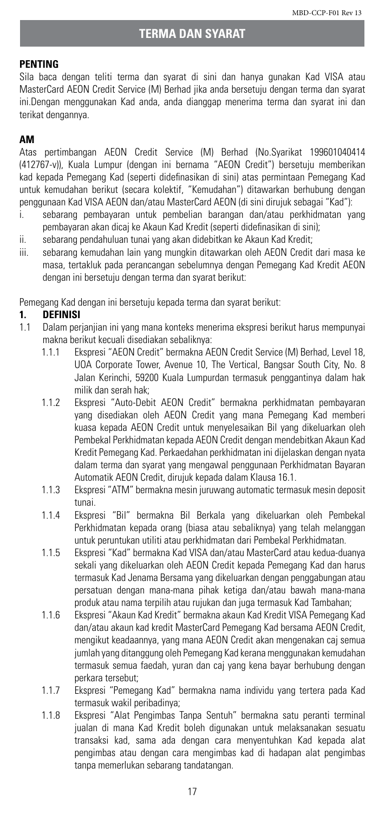#### **PENTING**

Sila baca dengan teliti terma dan syarat di sini dan hanya gunakan Kad VISA atau MasterCard AEON Credit Service (M) Berhad jika anda bersetuju dengan terma dan syarat ini.Dengan menggunakan Kad anda, anda dianggap menerima terma dan syarat ini dan terikat dengannya.

# **AM**

Atas pertimbangan AEON Credit Service (M) Berhad (No.Syarikat 199601040414 (412767-v)), Kuala Lumpur (dengan ini bernama "AEON Credit") bersetuju memberikan kad kepada Pemegang Kad (seperti didefinasikan di sini) atas permintaan Pemegang Kad untuk kemudahan berikut (secara kolektif, "Kemudahan") ditawarkan berhubung dengan penggunaan Kad VISA AEON dan/atau MasterCard AEON (di sini dirujuk sebagai "Kad"):

- i. sebarang pembayaran untuk pembelian barangan dan/atau perkhidmatan yang pembayaran akan dicaj ke Akaun Kad Kredit (seperti didefinasikan di sini);
- ii. sebarang pendahuluan tunai yang akan didebitkan ke Akaun Kad Kredit;
- iii. sebarang kemudahan lain yang mungkin ditawarkan oleh AEON Credit dari masa ke masa, tertakluk pada perancangan sebelumnya dengan Pemegang Kad Kredit AEON dengan ini bersetuju dengan terma dan syarat berikut:

Pemegang Kad dengan ini bersetuju kepada terma dan syarat berikut:

#### **1. DEFINISI**

- 1.1 Dalam perjanjian ini yang mana konteks menerima ekspresi berikut harus mempunyai makna berikut kecuali disediakan sebaliknya:
	- 1.1.1 Ekspresi "AEON Credit" bermakna AEON Credit Service (M) Berhad, Level 18, UOA Corporate Tower, Avenue 10, The Vertical, Bangsar South City, No. 8 Jalan Kerinchi, 59200 Kuala Lumpurdan termasuk penggantinya dalam hak milik dan serah hak;
	- 1.1.2 Ekspresi "Auto-Debit AEON Credit" bermakna perkhidmatan pembayaran yang disediakan oleh AEON Credit yang mana Pemegang Kad memberi kuasa kepada AEON Credit untuk menyelesaikan Bil yang dikeluarkan oleh Pembekal Perkhidmatan kepada AEON Credit dengan mendebitkan Akaun Kad Kredit Pemegang Kad. Perkaedahan perkhidmatan ini dijelaskan dengan nyata dalam terma dan syarat yang mengawal penggunaan Perkhidmatan Bayaran Automatik AEON Credit, dirujuk kepada dalam Klausa 16.1.
	- 1.1.3 Ekspresi "ATM" bermakna mesin juruwang automatic termasuk mesin deposit tunai.
	- 1.1.4 Ekspresi "Bil" bermakna Bil Berkala yang dikeluarkan oleh Pembekal Perkhidmatan kepada orang (biasa atau sebaliknya) yang telah melanggan untuk peruntukan utiliti atau perkhidmatan dari Pembekal Perkhidmatan.
	- 1.1.5 Ekspresi "Kad" bermakna Kad VISA dan/atau MasterCard atau kedua-duanya sekali yang dikeluarkan oleh AEON Credit kepada Pemegang Kad dan harus termasuk Kad Jenama Bersama yang dikeluarkan dengan penggabungan atau persatuan dengan mana-mana pihak ketiga dan/atau bawah mana-mana produk atau nama terpilih atau rujukan dan juga termasuk Kad Tambahan;
	- 1.1.6 Ekspresi "Akaun Kad Kredit" bermakna akaun Kad Kredit VISA Pemegang Kad dan/atau akaun kad kredit MasterCard Pemegang Kad bersama AEON Credit, mengikut keadaannya, yang mana AEON Credit akan mengenakan caj semua jumlah yang ditanggung oleh Pemegang Kad kerana menggunakan kemudahan termasuk semua faedah, yuran dan caj yang kena bayar berhubung dengan perkara tersebut;
	- 1.1.7 Ekspresi "Pemegang Kad" bermakna nama individu yang tertera pada Kad termasuk wakil peribadinya;
	- 1.1.8 Ekspresi "Alat Pengimbas Tanpa Sentuh" bermakna satu peranti terminal jualan di mana Kad Kredit boleh digunakan untuk melaksanakan sesuatu transaksi kad, sama ada dengan cara menyentuhkan Kad kepada alat pengimbas atau dengan cara mengimbas kad di hadapan alat pengimbas tanpa memerlukan sebarang tandatangan.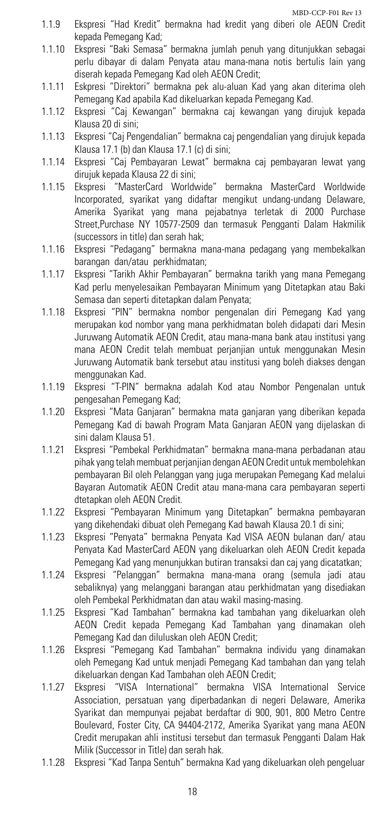- 1.1.9 Ekspresi "Had Kredit" bermakna had kredit yang diberi ole AEON Credit kepada Pemegang Kad;
- 1.1.10 Ekspresi "Baki Semasa" bermakna jumlah penuh yang ditunjukkan sebagai perlu dibayar di dalam Penyata atau mana-mana notis bertulis lain yang diserah kepada Pemegang Kad oleh AEON Credit;
- 1.1.11 Eskpresi "Direktori" bermakna pek alu-aluan Kad yang akan diterima oleh Pemegang Kad apabila Kad dikeluarkan kepada Pemegang Kad.
- 1.1.12 Ekspresi "Caj Kewangan" bermakna caj kewangan yang dirujuk kepada Klausa 20 di sini;
- 1.1.13 Ekspresi "Caj Pengendalian" bermakna caj pengendalian yang dirujuk kepada Klausa 17.1 (b) dan Klausa 17.1 (c) di sini;
- 1.1.14 Ekspresi "Caj Pembayaran Lewat" bermakna caj pembayaran lewat yang dirujuk kepada Klausa 22 di sini;
- 1.1.15 Ekspresi "MasterCard Worldwide" bermakna MasterCard Worldwide Incorporated, syarikat yang didaftar mengikut undang-undang Delaware, Amerika Syarikat yang mana pejabatnya terletak di 2000 Purchase Street,Purchase NY 10577-2509 dan termasuk Pengganti Dalam Hakmilik (successors in title) dan serah hak;
- 1.1.16 Ekspresi "Pedagang" bermakna mana-mana pedagang yang membekalkan barangan dan/atau perkhidmatan;
- 1.1.17 Ekspresi "Tarikh Akhir Pembayaran" bermakna tarikh yang mana Pemegang Kad perlu menyelesaikan Pembayaran Minimum yang Ditetapkan atau Baki Semasa dan seperti ditetapkan dalam Penyata;
- 1.1.18 Ekspresi "PIN" bermakna nombor pengenalan diri Pemegang Kad yang merupakan kod nombor yang mana perkhidmatan boleh didapati dari Mesin Juruwang Automatik AEON Credit, atau mana-mana bank atau institusi yang mana AEON Credit telah membuat perjanjian untuk menggunakan Mesin Juruwang Automatik bank tersebut atau institusi yang boleh diakses dengan menggunakan Kad.
- 1.1.19 Ekspresi "T-PIN" bermakna adalah Kod atau Nombor Pengenalan untuk pengesahan Pemegang Kad;
- 1.1.20 Ekspresi "Mata Ganjaran" bermakna mata ganjaran yang diberikan kepada Pemegang Kad di bawah Program Mata Ganjaran AEON yang dijelaskan di sini dalam Klausa 51.
- 1.1.21 Ekspresi "Pembekal Perkhidmatan" bermakna mana-mana perbadanan atau pihak yang telah membuat perjanjian dengan AEON Credit untuk membolehkan pembayaran Bil oleh Pelanggan yang juga merupakan Pemegang Kad melalui Bayaran Automatik AEON Credit atau mana-mana cara pembayaran seperti dtetapkan oleh AEON Credit.
- 1.1.22 Ekspresi "Pembayaran Minimum yang Ditetapkan" bermakna pembayaran yang dikehendaki dibuat oleh Pemegang Kad bawah Klausa 20.1 di sini;
- 1.1.23 Ekspresi "Penyata" bermakna Penyata Kad VISA AEON bulanan dan/ atau Penyata Kad MasterCard AEON yang dikeluarkan oleh AEON Credit kepada Pemegang Kad yang menunjukkan butiran transaksi dan caj yang dicatatkan;
- 1.1.24 Ekspresi "Pelanggan" bermakna mana-mana orang (semula jadi atau sebaliknya) yang melanggani barangan atau perkhidmatan yang disediakan oleh Pembekal Perkhidmatan dan atau wakil masing-masing.
- 1.1.25 Ekspresi "Kad Tambahan" bermakna kad tambahan yang dikeluarkan oleh AEON Credit kepada Pemegang Kad Tambahan yang dinamakan oleh Pemegang Kad dan diluluskan oleh AEON Credit;
- 1.1.26 Ekspresi "Pemegang Kad Tambahan" bermakna individu yang dinamakan oleh Pemegang Kad untuk menjadi Pemegang Kad tambahan dan yang telah dikeluarkan dengan Kad Tambahan oleh AEON Credit;
- 1.1.27 Ekspresi "VISA International" bermakna VISA International Service Association, persatuan yang diperbadankan di negeri Delaware, Amerika Syarikat dan mempunyai pejabat berdaftar di 900, 901, 800 Metro Centre Boulevard, Foster City, CA 94404-2172, Amerika Syarikat yang mana AEON Credit merupakan ahli institusi tersebut dan termasuk Pengganti Dalam Hak Milik (Successor in Title) dan serah hak.
- 1.1.28 Ekspresi "Kad Tanpa Sentuh" bermakna Kad yang dikeluarkan oleh pengeluar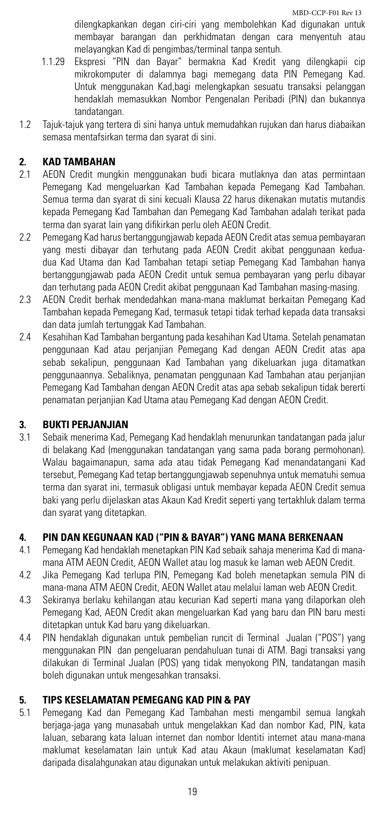dilengkapkankan degan ciri-ciri yang membolehkan Kad digunakan untuk membayar barangan dan perkhidmatan dengan cara menyentuh atau melayangkan Kad di pengimbas/terminal tanpa sentuh.

- 1.1.29 Ekspresi "PIN dan Bayar" bermakna Kad Kredit yang dilengkapii cip mikrokomputer di dalamnya bagi memegang data PIN Pemegang Kad. Untuk menggunakan Kad,bagi melengkapkan sesuatu transaksi pelanggan hendaklah memasukkan Nombor Pengenalan Peribadi (PIN) dan bukannya tandatangan.
- 1.2 Tajuk-tajuk yang tertera di sini hanya untuk memudahkan rujukan dan harus diabaikan semasa mentafsirkan terma dan syarat di sini.

# **2. KAD TAMBAHAN**

- 2.1 AEON Credit mungkin menggunakan budi bicara mutlaknya dan atas permintaan Pemegang Kad mengeluarkan Kad Tambahan kepada Pemegang Kad Tambahan. Semua terma dan syarat di sini kecuali Klausa 22 harus dikenakan mutatis mutandis kepada Pemegang Kad Tambahan dan Pemegang Kad Tambahan adalah terikat pada terma dan syarat lain yang difikirkan perlu oleh AEON Credit.
- 2.2 Pemegang Kad harus bertanggungjawab kepada AEON Credit atas semua pembayaran yang mesti dibayar dan terhutang pada AEON Credit akibat penggunaan keduadua Kad Utama dan Kad Tambahan tetapi setiap Pemegang Kad Tambahan hanya bertanggungjawab pada AEON Credit untuk semua pembayaran yang perlu dibayar dan terhutang pada AEON Credit akibat penggunaan Kad Tambahan masing-masing.
- 2.3 AEON Credit berhak mendedahkan mana-mana maklumat berkaitan Pemegang Kad Tambahan kepada Pemegang Kad, termasuk tetapi tidak terhad kepada data transaksi dan data jumlah tertunggak Kad Tambahan.
- 2.4 Kesahihan Kad Tambahan bergantung pada kesahihan Kad Utama. Setelah penamatan penggunaan Kad atau perjanjian Pemegang Kad dengan AEON Credit atas apa sebab sekalipun, penggunaan Kad Tambahan yang dikeluarkan juga ditamatkan penggunaannya. Sebaliknya, penamatan penggunaan Kad Tambahan atau perjanjian Pemegang Kad Tambahan dengan AEON Credit atas apa sebab sekalipun tidak bererti penamatan perjanjian Kad Utama atau Pemegang Kad dengan AEON Credit.

#### **3. BUKTI PERJANJIAN**

3.1 Sebaik menerima Kad, Pemegang Kad hendaklah menurunkan tandatangan pada jalur di belakang Kad (menggunakan tandatangan yang sama pada borang permohonan). Walau bagaimanapun, sama ada atau tidak Pemegang Kad menandatangani Kad tersebut, Pemegang Kad tetap bertanggungjawab sepenuhnya untuk mematuhi semua terma dan syarat ini, termasuk obligasi untuk membayar kepada AEON Credit semua baki yang perlu dijelaskan atas Akaun Kad Kredit seperti yang tertakhluk dalam terma dan syarat yang ditetapkan.

# **4. PIN DAN KEGUNAAN KAD ("PIN & BAYAR") YANG MANA BERKENAAN**

- 4.1 Pemegang Kad hendaklah menetapkan PIN Kad sebaik sahaja menerima Kad di manamana ATM AEON Credit, AEON Wallet atau log masuk ke laman web AEON Credit.
- 4.2 Jika Pemegang Kad terlupa PIN, Pemegang Kad boleh menetapkan semula PIN di mana-mana ATM AEON Credit, AEON Wallet atau melalui laman web AEON Credit.
- 4.3 Sekiranya berlaku kehilangan atau kecurian Kad seperti mana yang dilaporkan oleh Pemegang Kad, AEON Credit akan mengeluarkan Kad yang baru dan PIN baru mesti ditetapkan untuk Kad baru yang dikeluarkan.
- 4.4 PIN hendaklah digunakan untuk pembelian runcit di Terminal Jualan ("POS") yang menggunakan PIN dan pengeluaran pendahuluan tunai di ATM. Bagi transaksi yang dilakukan di Terminal Jualan (POS) yang tidak menyokong PIN, tandatangan masih boleh digunakan untuk mengesahkan transaksi.

# **5. TIPS KESELAMATAN PEMEGANG KAD PIN & PAY**

5.1 Pemegang Kad dan Pemegang Kad Tambahan mesti mengambil semua langkah berjaga-jaga yang munasabah untuk mengelakkan Kad dan nombor Kad, PIN, kata laluan, sebarang kata laluan internet dan nombor Identiti internet atau mana-mana maklumat keselamatan lain untuk Kad atau Akaun (maklumat keselamatan Kad) daripada disalahgunakan atau digunakan untuk melakukan aktiviti penipuan.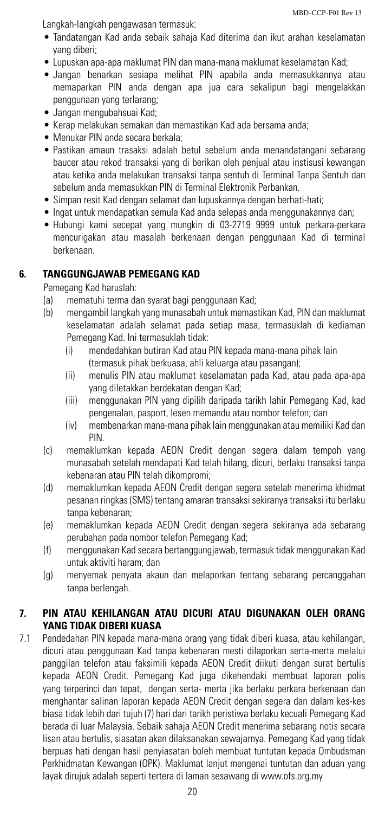Langkah-langkah pengawasan termasuk:

- • Tandatangan Kad anda sebaik sahaja Kad diterima dan ikut arahan keselamatan yang diberi;
- • Lupuskan apa-apa maklumat PIN dan mana-mana maklumat keselamatan Kad;
- • Jangan benarkan sesiapa melihat PIN apabila anda memasukkannya atau memaparkan PIN anda dengan apa jua cara sekalipun bagi mengelakkan penggunaan yang terlarang;
- • Jangan mengubahsuai Kad;
- Kerap melakukan semakan dan memastikan Kad ada bersama anda;
- Menukar PIN anda secara berkala:
- • Pastikan amaun trasaksi adalah betul sebelum anda menandatangani sebarang baucer atau rekod transaksi yang di berikan oleh penjual atau instisusi kewangan atau ketika anda melakukan transaksi tanpa sentuh di Terminal Tanpa Sentuh dan sebelum anda memasukkan PIN di Terminal Elektronik Perbankan.
- Simpan resit Kad dengan selamat dan lupuskannya dengan berhati-hati:
- Ingat untuk mendapatkan semula Kad anda selepas anda menggunakannya dan;
- • Hubungi kami secepat yang mungkin di 03-2719 9999 untuk perkara-perkara mencurigakan atau masalah berkenaan dengan penggunaan Kad di terminal berkenaan.

#### **6. TANGGUNGJAWAB PEMEGANG KAD**

Pemegang Kad haruslah:

- (a) mematuhi terma dan syarat bagi penggunaan Kad;
- (b) mengambil langkah yang munasabah untuk memastikan Kad, PIN dan maklumat keselamatan adalah selamat pada setiap masa, termasuklah di kediaman Pemegang Kad. Ini termasuklah tidak:
	- (i) mendedahkan butiran Kad atau PIN kepada mana-mana pihak lain (termasuk pihak berkuasa, ahli keluarga atau pasangan);
	- (ii) menulis PIN atau maklumat keselamatan pada Kad, atau pada apa-apa yang diletakkan berdekatan dengan Kad;
	- (iii) menggunakan PIN yang dipilih daripada tarikh lahir Pemegang Kad, kad pengenalan, pasport, lesen memandu atau nombor telefon; dan
	- (iv) membenarkan mana-mana pihak lain menggunakan atau memiliki Kad dan PIN.
- (c) memaklumkan kepada AEON Credit dengan segera dalam tempoh yang munasabah setelah mendapati Kad telah hilang, dicuri, berlaku transaksi tanpa kebenaran atau PIN telah dikompromi;
- (d) memaklumkan kepada AEON Credit dengan segera setelah menerima khidmat pesanan ringkas (SMS) tentang amaran transaksi sekiranya transaksi itu berlaku tanpa kebenaran;
- (e) memaklumkan kepada AEON Credit dengan segera sekiranya ada sebarang perubahan pada nombor telefon Pemegang Kad;
- (f) menggunakan Kad secara bertanggungjawab, termasuk tidak menggunakan Kad untuk aktiviti haram; dan
- (g) menyemak penyata akaun dan melaporkan tentang sebarang percanggahan tanpa berlengah.

#### **7. PIN ATAU KEHILANGAN ATAU DICURI ATAU DIGUNAKAN OLEH ORANG YANG TIDAK DIBERI KUASA**

7.1 Pendedahan PIN kepada mana-mana orang yang tidak diberi kuasa, atau kehilangan, dicuri atau penggunaan Kad tanpa kebenaran mesti dilaporkan serta-merta melalui panggilan telefon atau faksimili kepada AEON Credit diikuti dengan surat bertulis kepada AEON Credit. Pemegang Kad juga dikehendaki membuat laporan polis yang terperinci dan tepat, dengan serta- merta jika berlaku perkara berkenaan dan menghantar salinan laporan kepada AEON Credit dengan segera dan dalam kes-kes biasa tidak lebih dari tujuh (7) hari dari tarikh peristiwa berlaku kecuali Pemegang Kad berada di luar Malaysia. Sebaik sahaja AEON Credit menerima sebarang notis secara lisan atau bertulis, siasatan akan dilaksanakan sewajarnya. Pemegang Kad yang tidak berpuas hati dengan hasil penyiasatan boleh membuat tuntutan kepada Ombudsman Perkhidmatan Kewangan (OPK). Maklumat lanjut mengenai tuntutan dan aduan yang layak dirujuk adalah seperti tertera di laman sesawang di www.ofs.org.my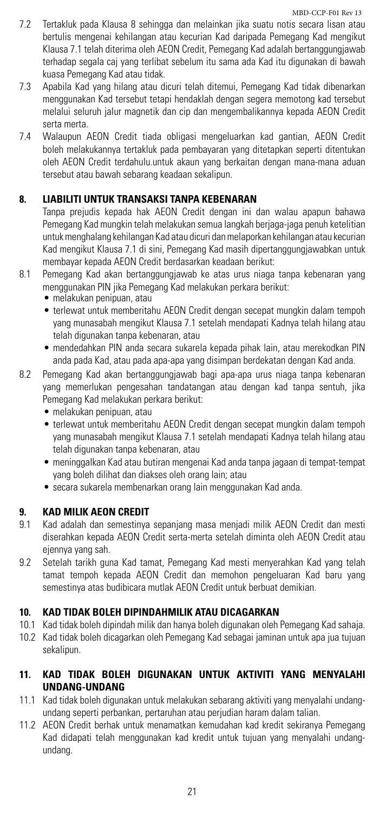- 7.2 Tertakluk pada Klausa 8 sehingga dan melainkan jika suatu notis secara lisan atau bertulis mengenai kehilangan atau kecurian Kad daripada Pemegang Kad mengikut Klausa 7.1 telah diterima oleh AEON Credit, Pemegang Kad adalah bertanggungjawab terhadap segala caj yang terlibat sebelum itu sama ada Kad itu digunakan di bawah kuasa Pemegang Kad atau tidak.
- 7.3 Apabila Kad yang hilang atau dicuri telah ditemui, Pemegang Kad tidak dibenarkan menggunakan Kad tersebut tetapi hendaklah dengan segera memotong kad tersebut melalui seluruh jalur magnetik dan cip dan mengembalikannya kepada AEON Credit serta merta.
- 7.4 Walaupun AEON Credit tiada obligasi mengeluarkan kad gantian, AEON Credit boleh melakukannya tertakluk pada pembayaran yang ditetapkan seperti ditentukan oleh AEON Credit terdahulu.untuk akaun yang berkaitan dengan mana-mana aduan tersebut atau bawah sebarang keadaan sekalipun.

# **8. LIABILITI UNTUK TRANSAKSI TANPA KEBENARAN**

Tanpa prejudis kepada hak AEON Credit dengan ini dan walau apapun bahawa Pemegang Kad mungkin telah melakukan semua langkah berjaga-jaga penuh ketelitian untuk menghalang kehilangan Kad atau dicuri dan melaporkan kehilangan atau kecurian Kad mengikut Klausa 7.1 di sini, Pemegang Kad masih dipertanggungjawabkan untuk membayar kepada AEON Credit berdasarkan keadaan berikut:

- 8.1 Pemegang Kad akan bertanggungjawab ke atas urus niaga tanpa kebenaran yang menggunakan PIN jika Pemegang Kad melakukan perkara berikut:
	- • melakukan penipuan, atau
	- terlewat untuk memberitahu AEON Credit dengan secepat mungkin dalam tempoh yang munasabah mengikut Klausa 7.1 setelah mendapati Kadnya telah hilang atau telah digunakan tanpa kebenaran, atau
	- • mendedahkan PIN anda secara sukarela kepada pihak lain, atau merekodkan PIN anda pada Kad, atau pada apa-apa yang disimpan berdekatan dengan Kad anda.
- 8.2 Pemegang Kad akan bertanggungjawab bagi apa-apa urus niaga tanpa kebenaran yang memerlukan pengesahan tandatangan atau dengan kad tanpa sentuh, jika Pemegang Kad melakukan perkara berikut:
	- • melakukan penipuan, atau
	- terlewat untuk memberitahu AEON Credit dengan secepat mungkin dalam tempoh yang munasabah mengikut Klausa 7.1 setelah mendapati Kadnya telah hilang atau telah digunakan tanpa kebenaran, atau
	- • meninggalkan Kad atau butiran mengenai Kad anda tanpa jagaan di tempat-tempat yang boleh dilihat dan diakses oleh orang lain; atau
	- secara sukarela membenarkan orang lain menggunakan Kad anda.

#### **9. KAD MILIK AEON CREDIT**

- 9.1 Kad adalah dan semestinya sepanjang masa menjadi milik AEON Credit dan mesti diserahkan kepada AEON Credit serta-merta setelah diminta oleh AEON Credit atau ejennya yang sah.
- 9.2 Setelah tarikh guna Kad tamat, Pemegang Kad mesti menyerahkan Kad yang telah tamat tempoh kepada AEON Credit dan memohon pengeluaran Kad baru yang semestinya atas budibicara mutlak AEON Credit untuk berbuat demikian.

#### **10. KAD TIDAK BOLEH DIPINDAHMILIK ATAU DICAGARKAN**

- 10.1 Kad tidak boleh dipindah milik dan hanya boleh digunakan oleh Pemegang Kad sahaja.
- 10.2 Kad tidak boleh dicagarkan oleh Pemegang Kad sebagai jaminan untuk apa jua tujuan sekalipun.

# **11. KAD TIDAK BOLEH DIGUNAKAN UNTUK AKTIVITI YANG MENYALAHI UNDANG-UNDANG**

- 11.1 Kad tidak boleh digunakan untuk melakukan sebarang aktiviti yang menyalahi undangundang seperti perbankan, pertaruhan atau perjudian haram dalam talian.
- 11.2 AEON Credit berhak untuk menamatkan kemudahan kad kredit sekiranya Pemegang Kad didapati telah menggunakan kad kredit untuk tujuan yang menyalahi undangundang.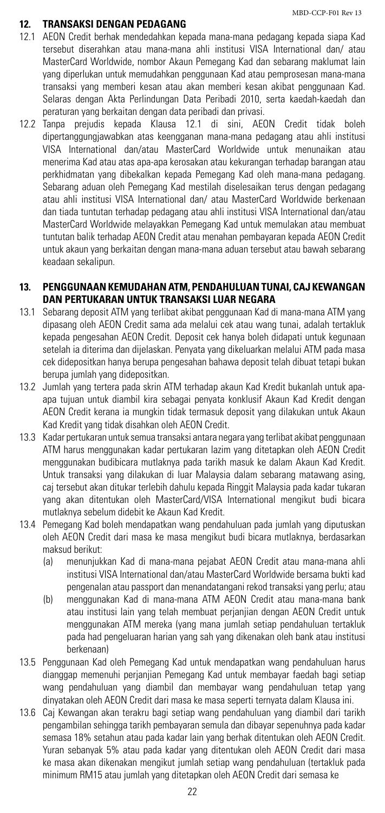#### **12. TRANSAKSI DENGAN PEDAGANG**

- 12.1 AEON Credit berhak mendedahkan kepada mana-mana pedagang kepada siapa Kad tersebut diserahkan atau mana-mana ahli institusi VISA International dan/ atau MasterCard Worldwide, nombor Akaun Pemegang Kad dan sebarang maklumat lain yang diperlukan untuk memudahkan penggunaan Kad atau pemprosesan mana-mana transaksi yang memberi kesan atau akan memberi kesan akibat penggunaan Kad. Selaras dengan Akta Perlindungan Data Peribadi 2010, serta kaedah-kaedah dan peraturan yang berkaitan dengan data peribadi dan privasi.
- 12.2 Tanpa prejudis kepada Klausa 12.1 di sini, AEON Credit tidak boleh dipertanggungjawabkan atas keengganan mana-mana pedagang atau ahli institusi VISA International dan/atau MasterCard Worldwide untuk menunaikan atau menerima Kad atau atas apa-apa kerosakan atau kekurangan terhadap barangan atau perkhidmatan yang dibekalkan kepada Pemegang Kad oleh mana-mana pedagang. Sebarang aduan oleh Pemegang Kad mestilah diselesaikan terus dengan pedagang atau ahli institusi VISA International dan/ atau MasterCard Worldwide berkenaan dan tiada tuntutan terhadap pedagang atau ahli institusi VISA International dan/atau MasterCard Worldwide melayakkan Pemegang Kad untuk memulakan atau membuat tuntutan balik terhadap AEON Credit atau menahan pembayaran kepada AEON Credit untuk akaun yang berkaitan dengan mana-mana aduan tersebut atau bawah sebarang keadaan sekalipun.

#### **13. PENGGUNAAN KEMUDAHAN ATM, PENDAHULUAN TUNAI, CAJ KEWANGAN DAN PERTUKARAN UNTUK TRANSAKSI LUAR NEGARA**

- 13.1 Sebarang deposit ATM yang terlibat akibat penggunaan Kad di mana-mana ATM yang dipasang oleh AEON Credit sama ada melalui cek atau wang tunai, adalah tertakluk kepada pengesahan AEON Credit. Deposit cek hanya boleh didapati untuk kegunaan setelah ia diterima dan dijelaskan. Penyata yang dikeluarkan melalui ATM pada masa cek didepositkan hanya berupa pengesahan bahawa deposit telah dibuat tetapi bukan berupa jumlah yang didepositkan.
- 13.2 Jumlah yang tertera pada skrin ATM terhadap akaun Kad Kredit bukanlah untuk apaapa tujuan untuk diambil kira sebagai penyata konklusif Akaun Kad Kredit dengan AEON Credit kerana ia mungkin tidak termasuk deposit yang dilakukan untuk Akaun Kad Kredit yang tidak disahkan oleh AEON Credit.
- 13.3 Kadar pertukaran untuk semua transaksi antara negara yang terlibat akibat penggunaan ATM harus menggunakan kadar pertukaran lazim yang ditetapkan oleh AEON Credit menggunakan budibicara mutlaknya pada tarikh masuk ke dalam Akaun Kad Kredit. Untuk transaksi yang dilakukan di luar Malaysia dalam sebarang matawang asing, caj tersebut akan ditukar terlebih dahulu kepada Ringgit Malaysia pada kadar tukaran yang akan ditentukan oleh MasterCard/VISA International mengikut budi bicara mutlaknya sebelum didebit ke Akaun Kad Kredit.
- 13.4 Pemegang Kad boleh mendapatkan wang pendahuluan pada jumlah yang diputuskan oleh AEON Credit dari masa ke masa mengikut budi bicara mutlaknya, berdasarkan maksud berikut:
	- (a) menunjukkan Kad di mana-mana pejabat AEON Credit atau mana-mana ahli institusi VISA International dan/atau MasterCard Worldwide bersama bukti kad pengenalan atau passport dan menandatangani rekod transaksi yang perlu; atau
	- (b) menggunakan Kad di mana-mana ATM AEON Credit atau mana-mana bank atau institusi lain yang telah membuat perjanjian dengan AEON Credit untuk menggunakan ATM mereka (yang mana jumlah setiap pendahuluan tertakluk pada had pengeluaran harian yang sah yang dikenakan oleh bank atau institusi berkenaan)
- 13.5 Penggunaan Kad oleh Pemegang Kad untuk mendapatkan wang pendahuluan harus dianggap memenuhi perjanjian Pemegang Kad untuk membayar faedah bagi setiap wang pendahuluan yang diambil dan membayar wang pendahuluan tetap yang dinyatakan oleh AEON Credit dari masa ke masa seperti ternyata dalam Klausa ini.
- 13.6 Caj Kewangan akan terakru bagi setiap wang pendahuluan yang diambil dari tarikh pengambilan sehingga tarikh pembayaran semula dan dibayar sepenuhnya pada kadar semasa 18% setahun atau pada kadar lain yang berhak ditentukan oleh AEON Credit. Yuran sebanyak 5% atau pada kadar yang ditentukan oleh AEON Credit dari masa ke masa akan dikenakan mengikut jumlah setiap wang pendahuluan (tertakluk pada minimum RM15 atau jumlah yang ditetapkan oleh AEON Credit dari semasa ke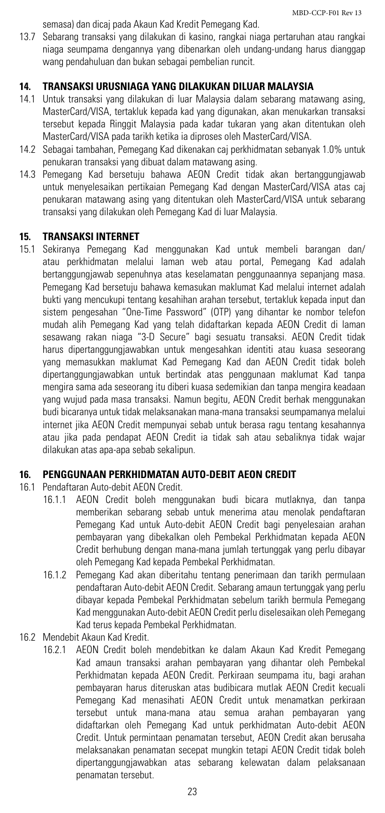semasa) dan dicaj pada Akaun Kad Kredit Pemegang Kad.

13.7 Sebarang transaksi yang dilakukan di kasino, rangkai niaga pertaruhan atau rangkai niaga seumpama dengannya yang dibenarkan oleh undang-undang harus dianggap wang pendahuluan dan bukan sebagai pembelian runcit.

# **14. TRANSAKSI URUSNIAGA YANG DILAKUKAN DILUAR MALAYSIA**

- 14.1 Untuk transaksi yang dilakukan di luar Malaysia dalam sebarang matawang asing, MasterCard/VISA, tertakluk kepada kad yang digunakan, akan menukarkan transaksi tersebut kepada Ringgit Malaysia pada kadar tukaran yang akan ditentukan oleh MasterCard/VISA pada tarikh ketika ia diproses oleh MasterCard/VISA.
- 14.2 Sebagai tambahan, Pemegang Kad dikenakan caj perkhidmatan sebanyak 1.0% untuk penukaran transaksi yang dibuat dalam matawang asing.
- 14.3 Pemegang Kad bersetuju bahawa AEON Credit tidak akan bertanggungjawab untuk menyelesaikan pertikaian Pemegang Kad dengan MasterCard/VISA atas caj penukaran matawang asing yang ditentukan oleh MasterCard/VISA untuk sebarang transaksi yang dilakukan oleh Pemegang Kad di luar Malaysia.

#### **15. TRANSAKSI INTERNET**

15.1 Sekiranya Pemegang Kad menggunakan Kad untuk membeli barangan dan/ atau perkhidmatan melalui laman web atau portal, Pemegang Kad adalah bertanggungjawab sepenuhnya atas keselamatan penggunaannya sepanjang masa. Pemegang Kad bersetuju bahawa kemasukan maklumat Kad melalui internet adalah bukti yang mencukupi tentang kesahihan arahan tersebut, tertakluk kepada input dan sistem pengesahan "One-Time Password" (OTP) yang dihantar ke nombor telefon mudah alih Pemegang Kad yang telah didaftarkan kepada AEON Credit di laman sesawang rakan niaga "3-D Secure" bagi sesuatu transaksi. AEON Credit tidak harus dipertanggungjawabkan untuk mengesahkan identiti atau kuasa seseorang yang memasukkan maklumat Kad Pemegang Kad dan AEON Credit tidak boleh dipertanggungjawabkan untuk bertindak atas penggunaan maklumat Kad tanpa mengira sama ada seseorang itu diberi kuasa sedemikian dan tanpa mengira keadaan yang wujud pada masa transaksi. Namun begitu, AEON Credit berhak menggunakan budi bicaranya untuk tidak melaksanakan mana-mana transaksi seumpamanya melalui internet jika AEON Credit mempunyai sebab untuk berasa ragu tentang kesahannya atau jika pada pendapat AEON Credit ia tidak sah atau sebaliknya tidak wajar dilakukan atas apa-apa sebab sekalipun.

# **16. PENGGUNAAN PERKHIDMATAN AUTO-DEBIT AEON CREDIT**

- 16.1 Pendaftaran Auto-debit AEON Credit.
	- 16.1.1 AEON Credit boleh menggunakan budi bicara mutlaknya, dan tanpa memberikan sebarang sebab untuk menerima atau menolak pendaftaran Pemegang Kad untuk Auto-debit AEON Credit bagi penyelesaian arahan pembayaran yang dibekalkan oleh Pembekal Perkhidmatan kepada AEON Credit berhubung dengan mana-mana jumlah tertunggak yang perlu dibayar oleh Pemegang Kad kepada Pembekal Perkhidmatan.
	- 16.1.2 Pemegang Kad akan diberitahu tentang penerimaan dan tarikh permulaan pendaftaran Auto-debit AEON Credit. Sebarang amaun tertunggak yang perlu dibayar kepada Pembekal Perkhidmatan sebelum tarikh bermula Pemegang Kad menggunakan Auto-debit AEON Credit perlu diselesaikan oleh Pemegang Kad terus kepada Pembekal Perkhidmatan.
- 16.2 Mendebit Akaun Kad Kredit.
	- 16.2.1 AEON Credit boleh mendebitkan ke dalam Akaun Kad Kredit Pemegang Kad amaun transaksi arahan pembayaran yang dihantar oleh Pembekal Perkhidmatan kepada AEON Credit. Perkiraan seumpama itu, bagi arahan pembayaran harus diteruskan atas budibicara mutlak AEON Credit kecuali Pemegang Kad menasihati AEON Credit untuk menamatkan perkiraan tersebut untuk mana-mana atau semua arahan pembayaran yang didaftarkan oleh Pemegang Kad untuk perkhidmatan Auto-debit AEON Credit. Untuk permintaan penamatan tersebut, AEON Credit akan berusaha melaksanakan penamatan secepat mungkin tetapi AEON Credit tidak boleh dipertanggungjawabkan atas sebarang kelewatan dalam pelaksanaan penamatan tersebut.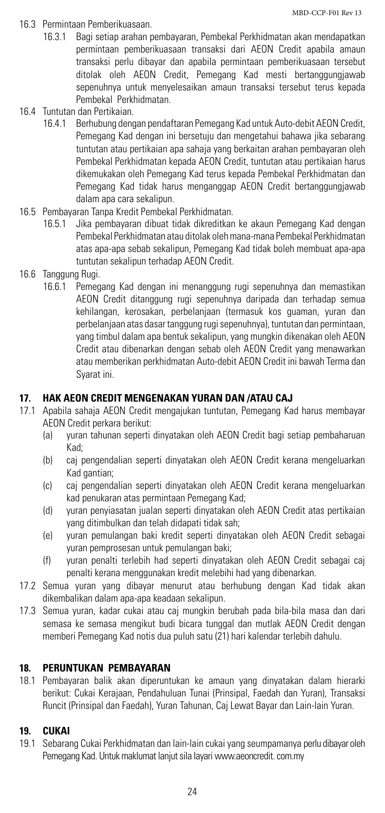- 16.3 Permintaan Pemberikuasaan.
	- 16.3.1 Bagi setiap arahan pembayaran, Pembekal Perkhidmatan akan mendapatkan permintaan pemberikuasaan transaksi dari AEON Credit apabila amaun transaksi perlu dibayar dan apabila permintaan pemberikuasaan tersebut ditolak oleh AEON Credit, Pemegang Kad mesti bertanggungjawab sepenuhnya untuk menyelesaikan amaun transaksi tersebut terus kepada Pembekal Perkhidmatan.
- 16.4 Tuntutan dan Pertikaian.
	- 16.4.1 Berhubung dengan pendaftaran Pemegang Kad untuk Auto-debit AEON Credit, Pemegang Kad dengan ini bersetuju dan mengetahui bahawa jika sebarang tuntutan atau pertikaian apa sahaja yang berkaitan arahan pembayaran oleh Pembekal Perkhidmatan kepada AEON Credit, tuntutan atau pertikaian harus dikemukakan oleh Pemegang Kad terus kepada Pembekal Perkhidmatan dan Pemegang Kad tidak harus menganggap AEON Credit bertanggungjawab dalam apa cara sekalipun.
- 16.5 Pembayaran Tanpa Kredit Pembekal Perkhidmatan.
	- 16.5.1 Jika pembayaran dibuat tidak dikreditkan ke akaun Pemegang Kad dengan Pembekal Perkhidmatan atau ditolak oleh mana-mana Pembekal Perkhidmatan atas apa-apa sebab sekalipun, Pemegang Kad tidak boleh membuat apa-apa tuntutan sekalipun terhadap AEON Credit.
- 16.6 Tanggung Rugi.
	- 16.6.1 Pemegang Kad dengan ini menanggung rugi sepenuhnya dan memastikan AEON Credit ditanggung rugi sepenuhnya daripada dan terhadap semua kehilangan, kerosakan, perbelanjaan (termasuk kos guaman, yuran dan perbelanjaan atas dasar tanggung rugi sepenuhnya), tuntutan dan permintaan, yang timbul dalam apa bentuk sekalipun, yang mungkin dikenakan oleh AEON Credit atau dibenarkan dengan sebab oleh AEON Credit yang menawarkan atau memberikan perkhidmatan Auto-debit AEON Credit ini bawah Terma dan Syarat ini.

#### **17. HAK AEON CREDIT MENGENAKAN YURAN DAN /ATAU CAJ**

- 17.1 Apabila sahaja AEON Credit mengajukan tuntutan, Pemegang Kad harus membayar AEON Credit perkara berikut:
	- (a) yuran tahunan seperti dinyatakan oleh AEON Credit bagi setiap pembaharuan Kad;
	- (b) caj pengendalian seperti dinyatakan oleh AEON Credit kerana mengeluarkan Kad gantian;
	- (c) caj pengendalian seperti dinyatakan oleh AEON Credit kerana mengeluarkan kad penukaran atas permintaan Pemegang Kad;
	- (d) yuran penyiasatan jualan seperti dinyatakan oleh AEON Credit atas pertikaian yang ditimbulkan dan telah didapati tidak sah;
	- (e) yuran pemulangan baki kredit seperti dinyatakan oleh AEON Credit sebagai yuran pemprosesan untuk pemulangan baki;
	- (f) yuran penalti terlebih had seperti dinyatakan oleh AEON Credit sebagai caj penalti kerana menggunakan kredit melebihi had yang dibenarkan.
- 17.2 Semua yuran yang dibayar menurut atau berhubung dengan Kad tidak akan dikembalikan dalam apa-apa keadaan sekalipun.
- 17.3 Semua yuran, kadar cukai atau caj mungkin berubah pada bila-bila masa dan dari semasa ke semasa mengikut budi bicara tunggal dan mutlak AEON Credit dengan memberi Pemegang Kad notis dua puluh satu (21) hari kalendar terlebih dahulu.

# **18. PERUNTUKAN PEMBAYARAN**

18.1 Pembayaran balik akan diperuntukan ke amaun yang dinyatakan dalam hierarki berikut: Cukai Kerajaan, Pendahuluan Tunai (Prinsipal, Faedah dan Yuran), Transaksi Runcit (Prinsipal dan Faedah), Yuran Tahunan, Caj Lewat Bayar dan Lain-lain Yuran.

# **19. CUKAI**

19.1 Sebarang Cukai Perkhidmatan dan lain-lain cukai yang seumpamanya perlu dibayar oleh Pemegang Kad. Untuk maklumat lanjut sila layari www.aeoncredit. com.my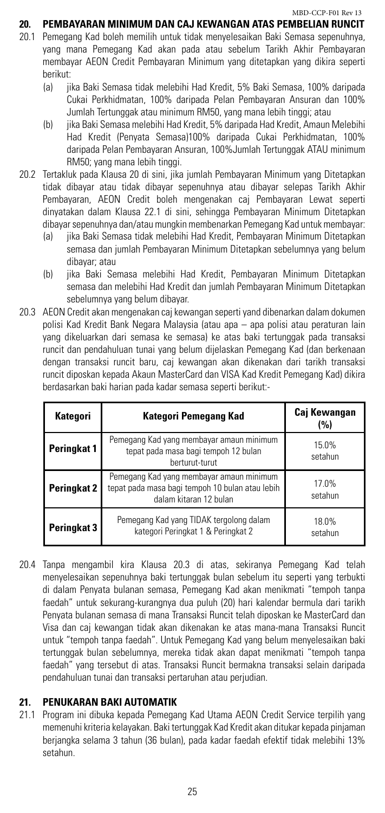# **20. PEMBAYARAN MINIMUM DAN CAJ KEWANGAN ATAS PEMBELIAN RUNCIT**

- 20.1 Pemegang Kad boleh memilih untuk tidak menyelesaikan Baki Semasa sepenuhnya, yang mana Pemegang Kad akan pada atau sebelum Tarikh Akhir Pembayaran membayar AEON Credit Pembayaran Minimum yang ditetapkan yang dikira seperti berikut:
	- (a) jika Baki Semasa tidak melebihi Had Kredit, 5% Baki Semasa, 100% daripada Cukai Perkhidmatan, 100% daripada Pelan Pembayaran Ansuran dan 100% Jumlah Tertunggak atau minimum RM50, yang mana lebih tinggi; atau
	- (b) jika Baki Semasa melebihi Had Kredit, 5% daripada Had Kredit, Amaun Melebihi Had Kredit (Penyata Semasa)100% daripada Cukai Perkhidmatan, 100% daripada Pelan Pembayaran Ansuran, 100%Jumlah Tertunggak ATAU minimum RM50; yang mana lebih tinggi.
- 20.2 Tertakluk pada Klausa 20 di sini, jika jumlah Pembayaran Minimum yang Ditetapkan tidak dibayar atau tidak dibayar sepenuhnya atau dibayar selepas Tarikh Akhir Pembayaran, AEON Credit boleh mengenakan caj Pembayaran Lewat seperti dinyatakan dalam Klausa 22.1 di sini, sehingga Pembayaran Minimum Ditetapkan dibayar sepenuhnya dan/atau mungkin membenarkan Pemegang Kad untuk membayar:
	- (a) jika Baki Semasa tidak melebihi Had Kredit, Pembayaran Minimum Ditetapkan semasa dan jumlah Pembayaran Minimum Ditetapkan sebelumnya yang belum dibayar; atau
	- (b) jika Baki Semasa melebihi Had Kredit, Pembayaran Minimum Ditetapkan semasa dan melebihi Had Kredit dan jumlah Pembayaran Minimum Ditetapkan sebelumnya yang belum dibayar.
- 20.3 AEON Credit akan mengenakan caj kewangan seperti yand dibenarkan dalam dokumen polisi Kad Kredit Bank Negara Malaysia (atau apa – apa polisi atau peraturan lain yang dikeluarkan dari semasa ke semasa) ke atas baki tertunggak pada transaksi runcit dan pendahuluan tunai yang belum dijelaskan Pemegang Kad (dan berkenaan dengan transaksi runcit baru, caj kewangan akan dikenakan dari tarikh transaksi runcit diposkan kepada Akaun MasterCard dan VISA Kad Kredit Pemegang Kad) dikira berdasarkan baki harian pada kadar semasa seperti berikut:-

| Kategori           | Kategori Pemegang Kad                                                                                                 | Caj Kewangan<br>(%) |
|--------------------|-----------------------------------------------------------------------------------------------------------------------|---------------------|
| Peringkat 1        | Pemegang Kad yang membayar amaun minimum<br>tepat pada masa bagi tempoh 12 bulan<br>berturut-turut                    | 15.0%<br>setahun    |
| <b>Peringkat 2</b> | Pemegang Kad yang membayar amaun minimum<br>tepat pada masa bagi tempoh 10 bulan atau lebih<br>dalam kitaran 12 bulan | 17.0%<br>setahun    |
| Peringkat 3        | Pemegang Kad yang TIDAK tergolong dalam<br>kategori Peringkat 1 & Peringkat 2                                         | 18.0%<br>setahun    |

20.4 Tanpa mengambil kira Klausa 20.3 di atas, sekiranya Pemegang Kad telah menyelesaikan sepenuhnya baki tertunggak bulan sebelum itu seperti yang terbukti di dalam Penyata bulanan semasa, Pemegang Kad akan menikmati "tempoh tanpa faedah" untuk sekurang-kurangnya dua puluh (20) hari kalendar bermula dari tarikh Penyata bulanan semasa di mana Transaksi Runcit telah diposkan ke MasterCard dan Visa dan caj kewangan tidak akan dikenakan ke atas mana-mana Transaksi Runcit untuk "tempoh tanpa faedah". Untuk Pemegang Kad yang belum menyelesaikan baki tertunggak bulan sebelumnya, mereka tidak akan dapat menikmati "tempoh tanpa faedah" yang tersebut di atas. Transaksi Runcit bermakna transaksi selain daripada pendahuluan tunai dan transaksi pertaruhan atau perjudian.

#### **21. PENUKARAN BAKI AUTOMATIK**

21.1 Program ini dibuka kepada Pemegang Kad Utama AEON Credit Service terpilih yang memenuhi kriteria kelayakan. Baki tertunggak Kad Kredit akan ditukar kepada pinjaman berjangka selama 3 tahun (36 bulan), pada kadar faedah efektif tidak melebihi 13% setahun.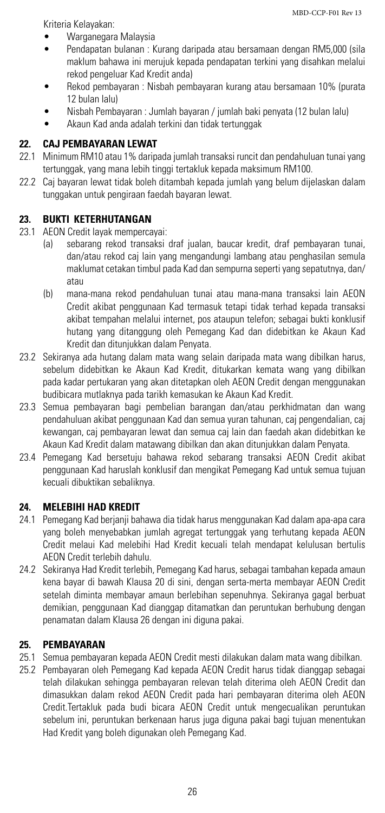Kriteria Kelayakan:

- Warganegara Malaysia
- Pendapatan bulanan : Kurang daripada atau bersamaan dengan RM5,000 (sila maklum bahawa ini merujuk kepada pendapatan terkini yang disahkan melalui rekod pengeluar Kad Kredit anda)
- • Rekod pembayaran : Nisbah pembayaran kurang atau bersamaan 10% (purata 12 bulan lalu)
- Nisbah Pembayaran : Jumlah bayaran / jumlah baki penyata (12 bulan lalu)
- Akaun Kad anda adalah terkini dan tidak tertunggak

# **22. CAJ PEMBAYARAN LEWAT**

- 22.1 Minimum RM10 atau 1% daripada jumlah transaksi runcit dan pendahuluan tunai yang tertunggak, yang mana lebih tinggi tertakluk kepada maksimum RM100.
- 22.2 Caj bayaran lewat tidak boleh ditambah kepada jumlah yang belum dijelaskan dalam tunggakan untuk pengiraan faedah bayaran lewat.

# **23. BUKTI KETERHUTANGAN**

- 23.1 AEON Credit layak mempercayai:
	- (a) sebarang rekod transaksi draf jualan, baucar kredit, draf pembayaran tunai, dan/atau rekod caj lain yang mengandungi lambang atau penghasilan semula maklumat cetakan timbul pada Kad dan sempurna seperti yang sepatutnya, dan/ atau
	- (b) mana-mana rekod pendahuluan tunai atau mana-mana transaksi lain AEON Credit akibat penggunaan Kad termasuk tetapi tidak terhad kepada transaksi akibat tempahan melalui internet, pos ataupun telefon; sebagai bukti konklusif hutang yang ditanggung oleh Pemegang Kad dan didebitkan ke Akaun Kad Kredit dan ditunjukkan dalam Penyata.
- 23.2 Sekiranya ada hutang dalam mata wang selain daripada mata wang dibilkan harus, sebelum didebitkan ke Akaun Kad Kredit, ditukarkan kemata wang yang dibilkan pada kadar pertukaran yang akan ditetapkan oleh AEON Credit dengan menggunakan budibicara mutlaknya pada tarikh kemasukan ke Akaun Kad Kredit.
- 23.3 Semua pembayaran bagi pembelian barangan dan/atau perkhidmatan dan wang pendahuluan akibat penggunaan Kad dan semua yuran tahunan, caj pengendalian, caj kewangan, caj pembayaran lewat dan semua caj lain dan faedah akan didebitkan ke Akaun Kad Kredit dalam matawang dibilkan dan akan ditunjukkan dalam Penyata.
- 23.4 Pemegang Kad bersetuju bahawa rekod sebarang transaksi AEON Credit akibat penggunaan Kad haruslah konklusif dan mengikat Pemegang Kad untuk semua tujuan kecuali dibuktikan sebaliknya.

# **24. MELEBIHI HAD KREDIT**

- 24.1 Pemegang Kad berjanji bahawa dia tidak harus menggunakan Kad dalam apa-apa cara yang boleh menyebabkan jumlah agregat tertunggak yang terhutang kepada AEON Credit melaui Kad melebihi Had Kredit kecuali telah mendapat kelulusan bertulis AEON Credit terlebih dahulu.
- 24.2 Sekiranya Had Kredit terlebih, Pemegang Kad harus, sebagai tambahan kepada amaun kena bayar di bawah Klausa 20 di sini, dengan serta-merta membayar AEON Credit setelah diminta membayar amaun berlebihan sepenuhnya. Sekiranya gagal berbuat demikian, penggunaan Kad dianggap ditamatkan dan peruntukan berhubung dengan penamatan dalam Klausa 26 dengan ini diguna pakai.

#### **25. PEMBAYARAN**

- 25.1 Semua pembayaran kepada AEON Credit mesti dilakukan dalam mata wang dibilkan.
- 25.2 Pembayaran oleh Pemegang Kad kepada AEON Credit harus tidak dianggap sebagai telah dilakukan sehingga pembayaran relevan telah diterima oleh AEON Credit dan dimasukkan dalam rekod AEON Credit pada hari pembayaran diterima oleh AEON Credit.Tertakluk pada budi bicara AEON Credit untuk mengecualikan peruntukan sebelum ini, peruntukan berkenaan harus juga diguna pakai bagi tujuan menentukan Had Kredit yang boleh digunakan oleh Pemegang Kad.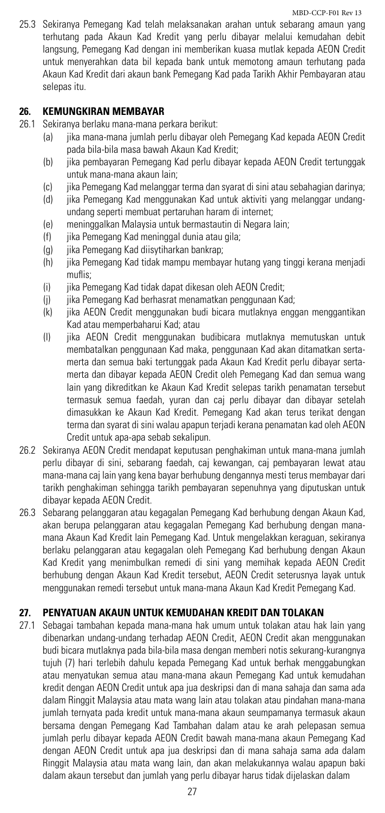25.3 Sekiranya Pemegang Kad telah melaksanakan arahan untuk sebarang amaun yang terhutang pada Akaun Kad Kredit yang perlu dibayar melalui kemudahan debit langsung, Pemegang Kad dengan ini memberikan kuasa mutlak kepada AEON Credit untuk menyerahkan data bil kepada bank untuk memotong amaun terhutang pada Akaun Kad Kredit dari akaun bank Pemegang Kad pada Tarikh Akhir Pembayaran atau selepas itu.

#### **26. KEMUNGKIRAN MEMBAYAR**

- 26.1 Sekiranya berlaku mana-mana perkara berikut:
	- (a) jika mana-mana jumlah perlu dibayar oleh Pemegang Kad kepada AEON Credit pada bila-bila masa bawah Akaun Kad Kredit;
	- (b) jika pembayaran Pemegang Kad perlu dibayar kepada AEON Credit tertunggak untuk mana-mana akaun lain;
	- (c) jika Pemegang Kad melanggar terma dan syarat di sini atau sebahagian darinya;
	- (d) jika Pemegang Kad menggunakan Kad untuk aktiviti yang melanggar undangundang seperti membuat pertaruhan haram di internet;
	- (e) meninggalkan Malaysia untuk bermastautin di Negara lain;
	- (f) jika Pemegang Kad meninggal dunia atau gila;
	- (g) jika Pemegang Kad diisytiharkan bankrap;
	- (h) jika Pemegang Kad tidak mampu membayar hutang yang tinggi kerana menjadi muflis;
	- (i) jika Pemegang Kad tidak dapat dikesan oleh AEON Credit;
	- (j) jika Pemegang Kad berhasrat menamatkan penggunaan Kad;
	- (k) jika AEON Credit menggunakan budi bicara mutlaknya enggan menggantikan Kad atau memperbaharui Kad; atau
	- (l) jika AEON Credit menggunakan budibicara mutlaknya memutuskan untuk membatalkan penggunaan Kad maka, penggunaan Kad akan ditamatkan sertamerta dan semua baki tertunggak pada Akaun Kad Kredit perlu dibayar sertamerta dan dibayar kepada AEON Credit oleh Pemegang Kad dan semua wang lain yang dikreditkan ke Akaun Kad Kredit selepas tarikh penamatan tersebut termasuk semua faedah, yuran dan caj perlu dibayar dan dibayar setelah dimasukkan ke Akaun Kad Kredit. Pemegang Kad akan terus terikat dengan terma dan syarat di sini walau apapun terjadi kerana penamatan kad oleh AEON Credit untuk apa-apa sebab sekalipun.
- 26.2 Sekiranya AEON Credit mendapat keputusan penghakiman untuk mana-mana jumlah perlu dibayar di sini, sebarang faedah, caj kewangan, caj pembayaran lewat atau mana-mana caj lain yang kena bayar berhubung dengannya mesti terus membayar dari tarikh penghakiman sehingga tarikh pembayaran sepenuhnya yang diputuskan untuk dibayar kepada AEON Credit.
- 26.3 Sebarang pelanggaran atau kegagalan Pemegang Kad berhubung dengan Akaun Kad, akan berupa pelanggaran atau kegagalan Pemegang Kad berhubung dengan manamana Akaun Kad Kredit lain Pemegang Kad. Untuk mengelakkan keraguan, sekiranya berlaku pelanggaran atau kegagalan oleh Pemegang Kad berhubung dengan Akaun Kad Kredit yang menimbulkan remedi di sini yang memihak kepada AEON Credit berhubung dengan Akaun Kad Kredit tersebut, AEON Credit seterusnya layak untuk menggunakan remedi tersebut untuk mana-mana Akaun Kad Kredit Pemegang Kad.

#### **27. PENYATUAN AKAUN UNTUK KEMUDAHAN KREDIT DAN TOLAKAN**

27.1 Sebagai tambahan kepada mana-mana hak umum untuk tolakan atau hak lain yang dibenarkan undang-undang terhadap AEON Credit, AEON Credit akan menggunakan budi bicara mutlaknya pada bila-bila masa dengan memberi notis sekurang-kurangnya tujuh (7) hari terlebih dahulu kepada Pemegang Kad untuk berhak menggabungkan atau menyatukan semua atau mana-mana akaun Pemegang Kad untuk kemudahan kredit dengan AEON Credit untuk apa jua deskripsi dan di mana sahaja dan sama ada dalam Ringgit Malaysia atau mata wang lain atau tolakan atau pindahan mana-mana jumlah ternyata pada kredit untuk mana-mana akaun seumpamanya termasuk akaun bersama dengan Pemegang Kad Tambahan dalam atau ke arah pelepasan semua jumlah perlu dibayar kepada AEON Credit bawah mana-mana akaun Pemegang Kad dengan AEON Credit untuk apa jua deskripsi dan di mana sahaja sama ada dalam Ringgit Malaysia atau mata wang lain, dan akan melakukannya walau apapun baki dalam akaun tersebut dan jumlah yang perlu dibayar harus tidak dijelaskan dalam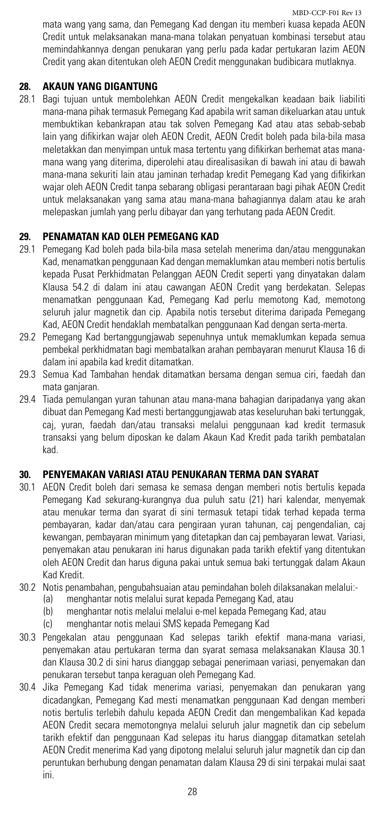mata wang yang sama, dan Pemegang Kad dengan itu memberi kuasa kepada AEON Credit untuk melaksanakan mana-mana tolakan penyatuan kombinasi tersebut atau memindahkannya dengan penukaran yang perlu pada kadar pertukaran lazim AEON Credit yang akan ditentukan oleh AEON Credit menggunakan budibicara mutlaknya.

# **28. AKAUN YANG DIGANTUNG**

28.1 Bagi tujuan untuk membolehkan AEON Credit mengekalkan keadaan baik liabiliti mana-mana pihak termasuk Pemegang Kad apabila writ saman dikeluarkan atau untuk membuktikan kebankrapan atau tak solven Pemegang Kad atau atas sebab-sebab lain yang difikirkan wajar oleh AEON Credit, AEON Credit boleh pada bila-bila masa meletakkan dan menyimpan untuk masa tertentu yang difikirkan berhemat atas manamana wang yang diterima, diperolehi atau direalisasikan di bawah ini atau di bawah mana-mana sekuriti lain atau jaminan terhadap kredit Pemegang Kad yang difikirkan wajar oleh AEON Credit tanpa sebarang obligasi perantaraan bagi pihak AEON Credit untuk melaksanakan yang sama atau mana-mana bahagiannya dalam atau ke arah melepaskan jumlah yang perlu dibayar dan yang terhutang pada AEON Credit.

# **29. PENAMATAN KAD OLEH PEMEGANG KAD**

- 29.1 Pemegang Kad boleh pada bila-bila masa setelah menerima dan/atau menggunakan Kad, menamatkan penggunaan Kad dengan memaklumkan atau memberi notis bertulis kepada Pusat Perkhidmatan Pelanggan AEON Credit seperti yang dinyatakan dalam Klausa 54.2 di dalam ini atau cawangan AEON Credit yang berdekatan. Selepas menamatkan penggunaan Kad, Pemegang Kad perlu memotong Kad, memotong seluruh jalur magnetik dan cip. Apabila notis tersebut diterima daripada Pemegang Kad, AEON Credit hendaklah membatalkan penggunaan Kad dengan serta-merta.
- 29.2 Pemegang Kad bertanggungjawab sepenuhnya untuk memaklumkan kepada semua pembekal perkhidmatan bagi membatalkan arahan pembayaran menurut Klausa 16 di dalam ini apabila kad kredit ditamatkan.
- 29.3 Semua Kad Tambahan hendak ditamatkan bersama dengan semua ciri, faedah dan mata ganjaran.
- 29.4 Tiada pemulangan yuran tahunan atau mana-mana bahagian daripadanya yang akan dibuat dan Pemegang Kad mesti bertanggungjawab atas keseluruhan baki tertunggak, caj, yuran, faedah dan/atau transaksi melalui penggunaan kad kredit termasuk transaksi yang belum diposkan ke dalam Akaun Kad Kredit pada tarikh pembatalan kad.

# **30. PENYEMAKAN VARIASI ATAU PENUKARAN TERMA DAN SYARAT**

- 30.1 AEON Credit boleh dari semasa ke semasa dengan memberi notis bertulis kepada Pemegang Kad sekurang-kurangnya dua puluh satu (21) hari kalendar, menyemak atau menukar terma dan syarat di sini termasuk tetapi tidak terhad kepada terma pembayaran, kadar dan/atau cara pengiraan yuran tahunan, caj pengendalian, caj kewangan, pembayaran minimum yang ditetapkan dan caj pembayaran lewat. Variasi, penyemakan atau penukaran ini harus digunakan pada tarikh efektif yang ditentukan oleh AEON Credit dan harus diguna pakai untuk semua baki tertunggak dalam Akaun Kad Kredit.
- 30.2 Notis penambahan, pengubahsuaian atau pemindahan boleh dilaksanakan melalui:-
	- (a) menghantar notis melalui surat kepada Pemegang Kad, atau
	- (b) menghantar notis melalui melalui e-mel kepada Pemegang Kad, atau
	- (c) menghantar notis melaui SMS kepada Pemegang Kad
- 30.3 Pengekalan atau penggunaan Kad selepas tarikh efektif mana-mana variasi, penyemakan atau pertukaran terma dan syarat semasa melaksanakan Klausa 30.1 dan Klausa 30.2 di sini harus dianggap sebagai penerimaan variasi, penyemakan dan penukaran tersebut tanpa keraguan oleh Pemegang Kad.
- 30.4 Jika Pemegang Kad tidak menerima variasi, penyemakan dan penukaran yang dicadangkan, Pemegang Kad mesti menamatkan penggunaan Kad dengan memberi notis bertulis terlebih dahulu kepada AEON Credit dan mengembalikan Kad kepada AEON Credit secara memotongnya melalui seluruh jalur magnetik dan cip sebelum tarikh efektif dan penggunaan Kad selepas itu harus dianggap ditamatkan setelah AEON Credit menerima Kad yang dipotong melalui seluruh jalur magnetik dan cip dan peruntukan berhubung dengan penamatan dalam Klausa 29 di sini terpakai mulai saat ini.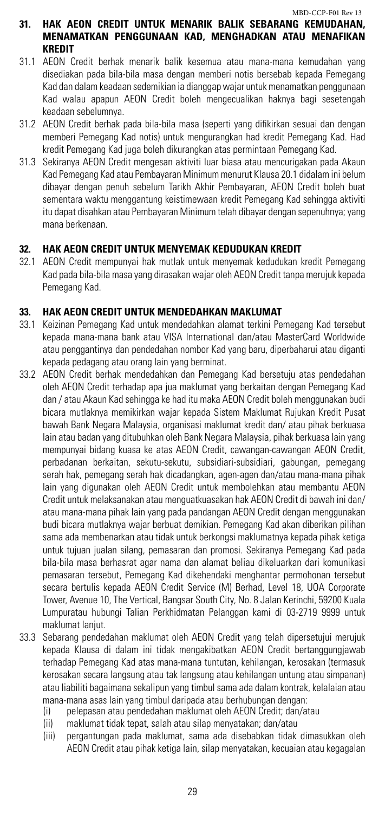#### **31. HAK AEON CREDIT UNTUK MENARIK BALIK SEBARANG KEMUDAHAN, MENAMATKAN PENGGUNAAN KAD, MENGHADKAN ATAU MENAFIKAN KREDIT**

- 31.1 AEON Credit berhak menarik balik kesemua atau mana-mana kemudahan yang disediakan pada bila-bila masa dengan memberi notis bersebab kepada Pemegang Kad dan dalam keadaan sedemikian ia dianggap wajar untuk menamatkan penggunaan Kad walau apapun AEON Credit boleh mengecualikan haknya bagi sesetengah keadaan sebelumnya.
- 31.2 AEON Credit berhak pada bila-bila masa (seperti yang difikirkan sesuai dan dengan memberi Pemegang Kad notis) untuk mengurangkan had kredit Pemegang Kad. Had kredit Pemegang Kad juga boleh dikurangkan atas permintaan Pemegang Kad.
- 31.3 Sekiranya AEON Credit mengesan aktiviti luar biasa atau mencurigakan pada Akaun Kad Pemegang Kad atau Pembayaran Minimum menurut Klausa 20.1 didalam ini belum dibayar dengan penuh sebelum Tarikh Akhir Pembayaran, AEON Credit boleh buat sementara waktu menggantung keistimewaan kredit Pemegang Kad sehingga aktiviti itu dapat disahkan atau Pembayaran Minimum telah dibayar dengan sepenuhnya; yang mana berkenaan.

# **32. HAK AEON CREDIT UNTUK MENYEMAK KEDUDUKAN KREDIT**

32.1 AEON Credit mempunyai hak mutlak untuk menyemak kedudukan kredit Pemegang Kad pada bila-bila masa yang dirasakan wajar oleh AEON Credit tanpa merujuk kepada Pemegang Kad.

# **33. HAK AEON CREDIT UNTUK MENDEDAHKAN MAKLUMAT**

- 33.1 Keizinan Pemegang Kad untuk mendedahkan alamat terkini Pemegang Kad tersebut kepada mana-mana bank atau VISA International dan/atau MasterCard Worldwide atau penggantinya dan pendedahan nombor Kad yang baru, diperbaharui atau diganti kepada pedagang atau orang lain yang berminat.
- 33.2 AEON Credit berhak mendedahkan dan Pemegang Kad bersetuju atas pendedahan oleh AEON Credit terhadap apa jua maklumat yang berkaitan dengan Pemegang Kad dan / atau Akaun Kad sehingga ke had itu maka AEON Credit boleh menggunakan budi bicara mutlaknya memikirkan wajar kepada Sistem Maklumat Rujukan Kredit Pusat bawah Bank Negara Malaysia, organisasi maklumat kredit dan/ atau pihak berkuasa lain atau badan yang ditubuhkan oleh Bank Negara Malaysia, pihak berkuasa lain yang mempunyai bidang kuasa ke atas AEON Credit, cawangan-cawangan AEON Credit, perbadanan berkaitan, sekutu-sekutu, subsidiari-subsidiari, gabungan, pemegang serah hak, pemegang serah hak dicadangkan, agen-agen dan/atau mana-mana pihak lain yang digunakan oleh AEON Credit untuk membolehkan atau membantu AEON Credit untuk melaksanakan atau menguatkuasakan hak AEON Credit di bawah ini dan/ atau mana-mana pihak lain yang pada pandangan AEON Credit dengan menggunakan budi bicara mutlaknya wajar berbuat demikian. Pemegang Kad akan diberikan pilihan sama ada membenarkan atau tidak untuk berkongsi maklumatnya kepada pihak ketiga untuk tujuan jualan silang, pemasaran dan promosi. Sekiranya Pemegang Kad pada bila-bila masa berhasrat agar nama dan alamat beliau dikeluarkan dari komunikasi pemasaran tersebut, Pemegang Kad dikehendaki menghantar permohonan tersebut secara bertulis kepada AEON Credit Service (M) Berhad, Level 18, UOA Corporate Tower, Avenue 10, The Vertical, Bangsar South City, No. 8 Jalan Kerinchi, 59200 Kuala Lumpuratau hubungi Talian Perkhidmatan Pelanggan kami di 03-2719 9999 untuk maklumat lanjut.
- 33.3 Sebarang pendedahan maklumat oleh AEON Credit yang telah dipersetujui merujuk kepada Klausa di dalam ini tidak mengakibatkan AEON Credit bertanggungjawab terhadap Pemegang Kad atas mana-mana tuntutan, kehilangan, kerosakan (termasuk kerosakan secara langsung atau tak langsung atau kehilangan untung atau simpanan) atau liabiliti bagaimana sekalipun yang timbul sama ada dalam kontrak, kelalaian atau mana-mana asas lain yang timbul daripada atau berhubungan dengan:
	- (i) pelepasan atau pendedahan maklumat oleh AEON Credit; dan/atau
	- (ii) maklumat tidak tepat, salah atau silap menyatakan; dan/atau
	- (iii) pergantungan pada maklumat, sama ada disebabkan tidak dimasukkan oleh AEON Credit atau pihak ketiga lain, silap menyatakan, kecuaian atau kegagalan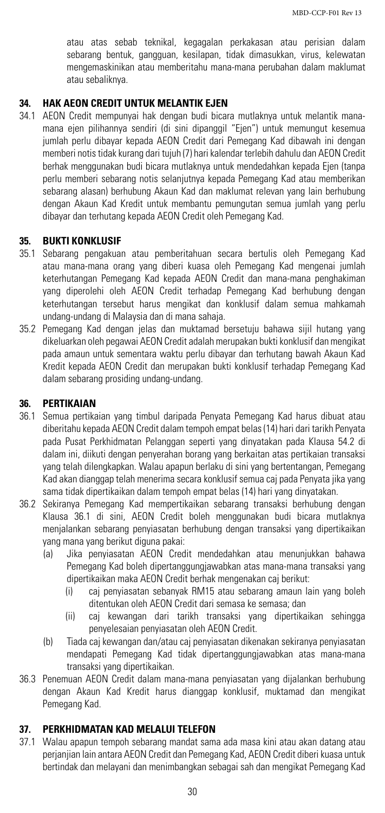atau atas sebab teknikal, kegagalan perkakasan atau perisian dalam sebarang bentuk, gangguan, kesilapan, tidak dimasukkan, virus, kelewatan mengemaskinikan atau memberitahu mana-mana perubahan dalam maklumat atau sebaliknya.

# **34. HAK AEON CREDIT UNTUK MELANTIK EJEN**

34.1 AEON Credit mempunyai hak dengan budi bicara mutlaknya untuk melantik manamana ejen pilihannya sendiri (di sini dipanggil "Ejen") untuk memungut kesemua jumlah perlu dibayar kepada AEON Credit dari Pemegang Kad dibawah ini dengan memberi notis tidak kurang dari tujuh (7) hari kalendar terlebih dahulu dan AEON Credit berhak menggunakan budi bicara mutlaknya untuk mendedahkan kepada Ejen (tanpa perlu memberi sebarang notis selanjutnya kepada Pemegang Kad atau memberikan sebarang alasan) berhubung Akaun Kad dan maklumat relevan yang lain berhubung dengan Akaun Kad Kredit untuk membantu pemungutan semua jumlah yang perlu dibayar dan terhutang kepada AEON Credit oleh Pemegang Kad.

# **35. BUKTI KONKLUSIF**

- 35.1 Sebarang pengakuan atau pemberitahuan secara bertulis oleh Pemegang Kad atau mana-mana orang yang diberi kuasa oleh Pemegang Kad mengenai jumlah keterhutangan Pemegang Kad kepada AEON Credit dan mana-mana penghakiman yang diperolehi oleh AEON Credit terhadap Pemegang Kad berhubung dengan keterhutangan tersebut harus mengikat dan konklusif dalam semua mahkamah undang-undang di Malaysia dan di mana sahaja.
- 35.2 Pemegang Kad dengan jelas dan muktamad bersetuju bahawa sijil hutang yang dikeluarkan oleh pegawai AEON Credit adalah merupakan bukti konklusif dan mengikat pada amaun untuk sementara waktu perlu dibayar dan terhutang bawah Akaun Kad Kredit kepada AEON Credit dan merupakan bukti konklusif terhadap Pemegang Kad dalam sebarang prosiding undang-undang.

#### **36. PERTIKAIAN**

- 36.1 Semua pertikaian yang timbul daripada Penyata Pemegang Kad harus dibuat atau diberitahu kepada AEON Credit dalam tempoh empat belas (14) hari dari tarikh Penyata pada Pusat Perkhidmatan Pelanggan seperti yang dinyatakan pada Klausa 54.2 di dalam ini, diikuti dengan penyerahan borang yang berkaitan atas pertikaian transaksi yang telah dilengkapkan. Walau apapun berlaku di sini yang bertentangan, Pemegang Kad akan dianggap telah menerima secara konklusif semua caj pada Penyata jika yang sama tidak dipertikaikan dalam tempoh empat belas (14) hari yang dinyatakan.
- 36.2 Sekiranya Pemegang Kad mempertikaikan sebarang transaksi berhubung dengan Klausa 36.1 di sini, AEON Credit boleh menggunakan budi bicara mutlaknya menjalankan sebarang penyiasatan berhubung dengan transaksi yang dipertikaikan yang mana yang berikut diguna pakai:
	- (a) Jika penyiasatan AEON Credit mendedahkan atau menunjukkan bahawa Pemegang Kad boleh dipertanggungjawabkan atas mana-mana transaksi yang dipertikaikan maka AEON Credit berhak mengenakan caj berikut:
		- (i) caj penyiasatan sebanyak RM15 atau sebarang amaun lain yang boleh ditentukan oleh AEON Credit dari semasa ke semasa; dan
		- (ii) caj kewangan dari tarikh transaksi yang dipertikaikan sehingga penyelesaian penyiasatan oleh AEON Credit.
	- (b) Tiada caj kewangan dan/atau caj penyiasatan dikenakan sekiranya penyiasatan mendapati Pemegang Kad tidak dipertanggungjawabkan atas mana-mana transaksi yang dipertikaikan.
- 36.3 Penemuan AEON Credit dalam mana-mana penyiasatan yang dijalankan berhubung dengan Akaun Kad Kredit harus dianggap konklusif, muktamad dan mengikat Pemegang Kad.

# **37. PERKHIDMATAN KAD MELALUI TELEFON**

37.1 Walau apapun tempoh sebarang mandat sama ada masa kini atau akan datang atau perjanjian lain antara AEON Credit dan Pemegang Kad, AEON Credit diberi kuasa untuk bertindak dan melayani dan menimbangkan sebagai sah dan mengikat Pemegang Kad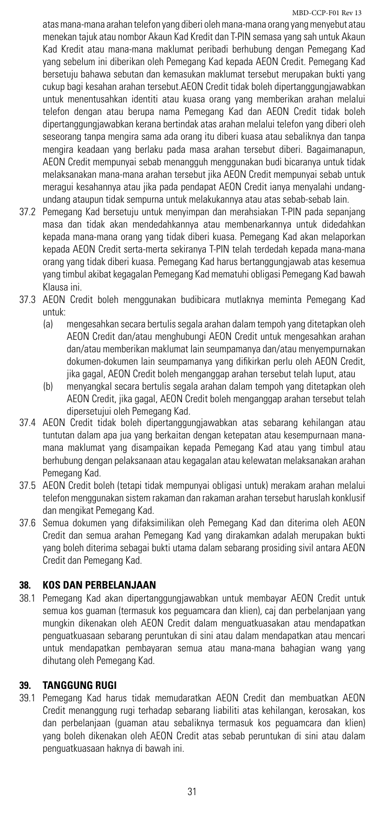atas mana-mana arahan telefon yang diberi oleh mana-mana orang yang menyebut atau menekan tajuk atau nombor Akaun Kad Kredit dan T-PIN semasa yang sah untuk Akaun Kad Kredit atau mana-mana maklumat peribadi berhubung dengan Pemegang Kad yang sebelum ini diberikan oleh Pemegang Kad kepada AEON Credit. Pemegang Kad bersetuju bahawa sebutan dan kemasukan maklumat tersebut merupakan bukti yang cukup bagi kesahan arahan tersebut.AEON Credit tidak boleh dipertanggungjawabkan untuk menentusahkan identiti atau kuasa orang yang memberikan arahan melalui telefon dengan atau berupa nama Pemegang Kad dan AEON Credit tidak boleh dipertanggungjawabkan kerana bertindak atas arahan melalui telefon yang diberi oleh seseorang tanpa mengira sama ada orang itu diberi kuasa atau sebaliknya dan tanpa mengira keadaan yang berlaku pada masa arahan tersebut diberi. Bagaimanapun, AEON Credit mempunyai sebab menangguh menggunakan budi bicaranya untuk tidak melaksanakan mana-mana arahan tersebut jika AEON Credit mempunyai sebab untuk meragui kesahannya atau jika pada pendapat AEON Credit ianya menyalahi undangundang ataupun tidak sempurna untuk melakukannya atau atas sebab-sebab lain.

- 37.2 Pemegang Kad bersetuju untuk menyimpan dan merahsiakan T-PIN pada sepanjang masa dan tidak akan mendedahkannya atau membenarkannya untuk didedahkan kepada mana-mana orang yang tidak diberi kuasa. Pemegang Kad akan melaporkan kepada AEON Credit serta-merta sekiranya T-PIN telah terdedah kepada mana-mana orang yang tidak diberi kuasa. Pemegang Kad harus bertanggungjawab atas kesemua yang timbul akibat kegagalan Pemegang Kad mematuhi obligasi Pemegang Kad bawah Klausa ini.
- 37.3 AEON Credit boleh menggunakan budibicara mutlaknya meminta Pemegang Kad untuk:
	- (a) mengesahkan secara bertulis segala arahan dalam tempoh yang ditetapkan oleh AEON Credit dan/atau menghubungi AEON Credit untuk mengesahkan arahan dan/atau memberikan maklumat lain seumpamanya dan/atau menyempurnakan dokumen-dokumen lain seumpamanya yang difikirkan perlu oleh AEON Credit, jika gagal, AEON Credit boleh menganggap arahan tersebut telah luput, atau
	- (b) menyangkal secara bertulis segala arahan dalam tempoh yang ditetapkan oleh AEON Credit, jika gagal, AEON Credit boleh menganggap arahan tersebut telah dipersetujui oleh Pemegang Kad.
- 37.4 AEON Credit tidak boleh dipertanggungjawabkan atas sebarang kehilangan atau tuntutan dalam apa jua yang berkaitan dengan ketepatan atau kesempurnaan manamana maklumat yang disampaikan kepada Pemegang Kad atau yang timbul atau berhubung dengan pelaksanaan atau kegagalan atau kelewatan melaksanakan arahan Pemegang Kad.
- 37.5 AEON Credit boleh (tetapi tidak mempunyai obligasi untuk) merakam arahan melalui telefon menggunakan sistem rakaman dan rakaman arahan tersebut haruslah konklusif dan mengikat Pemegang Kad.
- 37.6 Semua dokumen yang difaksimilikan oleh Pemegang Kad dan diterima oleh AEON Credit dan semua arahan Pemegang Kad yang dirakamkan adalah merupakan bukti yang boleh diterima sebagai bukti utama dalam sebarang prosiding sivil antara AEON Credit dan Pemegang Kad.

# **38. KOS DAN PERBELANJAAN**

38.1 Pemegang Kad akan dipertanggungjawabkan untuk membayar AEON Credit untuk semua kos guaman (termasuk kos peguamcara dan klien), caj dan perbelanjaan yang mungkin dikenakan oleh AEON Credit dalam menguatkuasakan atau mendapatkan penguatkuasaan sebarang peruntukan di sini atau dalam mendapatkan atau mencari untuk mendapatkan pembayaran semua atau mana-mana bahagian wang yang dihutang oleh Pemegang Kad.

# **39. TANGGUNG RUGI**

39.1 Pemegang Kad harus tidak memudaratkan AEON Credit dan membuatkan AEON Credit menanggung rugi terhadap sebarang liabiliti atas kehilangan, kerosakan, kos dan perbelanjaan (guaman atau sebaliknya termasuk kos peguamcara dan klien) yang boleh dikenakan oleh AEON Credit atas sebab peruntukan di sini atau dalam penguatkuasaan haknya di bawah ini.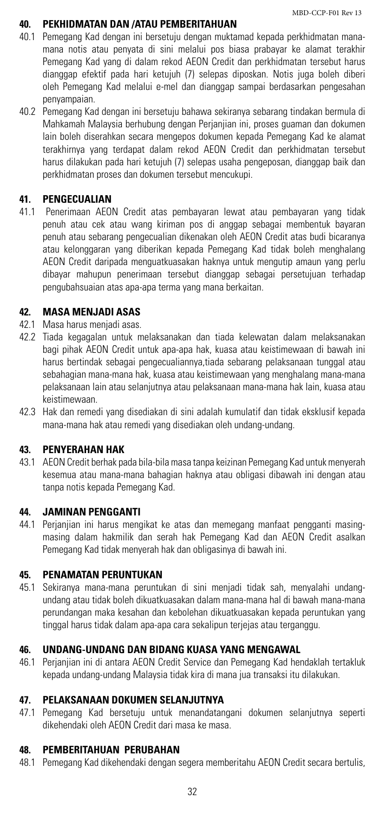#### **40. PEKHIDMATAN DAN /ATAU PEMBERITAHUAN**

- 40.1 Pemegang Kad dengan ini bersetuju dengan muktamad kepada perkhidmatan manamana notis atau penyata di sini melalui pos biasa prabayar ke alamat terakhir Pemegang Kad yang di dalam rekod AEON Credit dan perkhidmatan tersebut harus dianggap efektif pada hari ketujuh (7) selepas diposkan. Notis juga boleh diberi oleh Pemegang Kad melalui e-mel dan dianggap sampai berdasarkan pengesahan penyampaian.
- 40.2 Pemegang Kad dengan ini bersetuju bahawa sekiranya sebarang tindakan bermula di Mahkamah Malaysia berhubung dengan Perjanjian ini, proses guaman dan dokumen lain boleh diserahkan secara mengepos dokumen kepada Pemegang Kad ke alamat terakhirnya yang terdapat dalam rekod AEON Credit dan perkhidmatan tersebut harus dilakukan pada hari ketujuh (7) selepas usaha pengeposan, dianggap baik dan perkhidmatan proses dan dokumen tersebut mencukupi.

# **41. PENGECUALIAN**

41.1 Penerimaan AEON Credit atas pembayaran lewat atau pembayaran yang tidak penuh atau cek atau wang kiriman pos di anggap sebagai membentuk bayaran penuh atau sebarang pengecualian dikenakan oleh AEON Credit atas budi bicaranya atau kelonggaran yang diberikan kepada Pemegang Kad tidak boleh menghalang AEON Credit daripada menguatkuasakan haknya untuk mengutip amaun yang perlu dibayar mahupun penerimaan tersebut dianggap sebagai persetujuan terhadap pengubahsuaian atas apa-apa terma yang mana berkaitan.

# **42. MASA MENJADI ASAS**

- 42.1 Masa harus menjadi asas.
- 42.2 Tiada kegagalan untuk melaksanakan dan tiada kelewatan dalam melaksanakan bagi pihak AEON Credit untuk apa-apa hak, kuasa atau keistimewaan di bawah ini harus bertindak sebagai pengecualiannya,tiada sebarang pelaksanaan tunggal atau sebahagian mana-mana hak, kuasa atau keistimewaan yang menghalang mana-mana pelaksanaan lain atau selanjutnya atau pelaksanaan mana-mana hak lain, kuasa atau keistimewaan.
- 42.3 Hak dan remedi yang disediakan di sini adalah kumulatif dan tidak eksklusif kepada mana-mana hak atau remedi yang disediakan oleh undang-undang.

#### **43. PENYERAHAN HAK**

43.1 AEON Credit berhak pada bila-bila masa tanpa keizinan Pemegang Kad untuk menyerah kesemua atau mana-mana bahagian haknya atau obligasi dibawah ini dengan atau tanpa notis kepada Pemegang Kad.

#### **44. JAMINAN PENGGANTI**

44.1 Perjanjian ini harus mengikat ke atas dan memegang manfaat pengganti masingmasing dalam hakmilik dan serah hak Pemegang Kad dan AEON Credit asalkan Pemegang Kad tidak menyerah hak dan obligasinya di bawah ini.

#### **45. PENAMATAN PERUNTUKAN**

45.1 Sekiranya mana-mana peruntukan di sini menjadi tidak sah, menyalahi undangundang atau tidak boleh dikuatkuasakan dalam mana-mana hal di bawah mana-mana perundangan maka kesahan dan kebolehan dikuatkuasakan kepada peruntukan yang tinggal harus tidak dalam apa-apa cara sekalipun terjejas atau terganggu.

# **46. UNDANG-UNDANG DAN BIDANG KUASA YANG MENGAWAL**

46.1 Perjanjian ini di antara AEON Credit Service dan Pemegang Kad hendaklah tertakluk kepada undang-undang Malaysia tidak kira di mana jua transaksi itu dilakukan.

# **47. PELAKSANAAN DOKUMEN SELANJUTNYA**

47.1 Pemegang Kad bersetuju untuk menandatangani dokumen selanjutnya seperti dikehendaki oleh AEON Credit dari masa ke masa.

#### **48. PEMBERITAHUAN PERUBAHAN**

48.1 Pemegang Kad dikehendaki dengan segera memberitahu AEON Credit secara bertulis,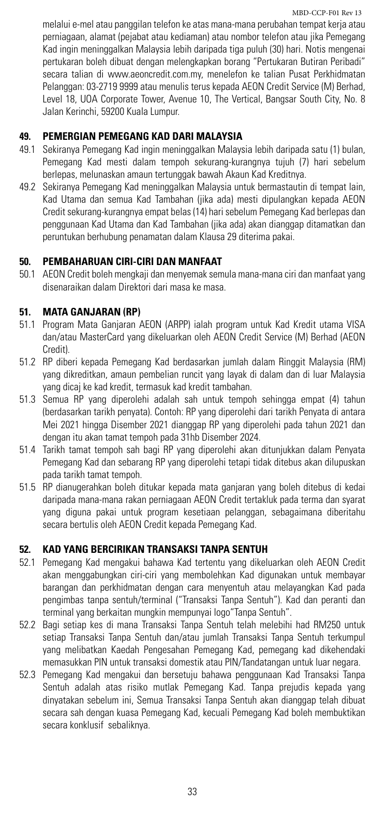melalui e-mel atau panggilan telefon ke atas mana-mana perubahan tempat kerja atau perniagaan, alamat (pejabat atau kediaman) atau nombor telefon atau jika Pemegang Kad ingin meninggalkan Malaysia lebih daripada tiga puluh (30) hari. Notis mengenai pertukaran boleh dibuat dengan melengkapkan borang "Pertukaran Butiran Peribadi" secara talian di www.aeoncredit.com.my, menelefon ke talian Pusat Perkhidmatan Pelanggan: 03-2719 9999 atau menulis terus kepada AEON Credit Service (M) Berhad, Level 18, UOA Corporate Tower, Avenue 10, The Vertical, Bangsar South City, No. 8 Jalan Kerinchi, 59200 Kuala Lumpur.

# **49. PEMERGIAN PEMEGANG KAD DARI MALAYSIA**

- 49.1 Sekiranya Pemegang Kad ingin meninggalkan Malaysia lebih daripada satu (1) bulan, Pemegang Kad mesti dalam tempoh sekurang-kurangnya tujuh (7) hari sebelum berlepas, melunaskan amaun tertunggak bawah Akaun Kad Kreditnya.
- 49.2 Sekiranya Pemegang Kad meninggalkan Malaysia untuk bermastautin di tempat lain, Kad Utama dan semua Kad Tambahan (jika ada) mesti dipulangkan kepada AEON Credit sekurang-kurangnya empat belas (14) hari sebelum Pemegang Kad berlepas dan penggunaan Kad Utama dan Kad Tambahan (jika ada) akan dianggap ditamatkan dan peruntukan berhubung penamatan dalam Klausa 29 diterima pakai.

# **50. PEMBAHARUAN CIRI-CIRI DAN MANFAAT**

50.1 AEON Credit boleh mengkaji dan menyemak semula mana-mana ciri dan manfaat yang disenaraikan dalam Direktori dari masa ke masa.

#### **51. MATA GANJARAN (RP)**

- 51.1 Program Mata Ganjaran AEON (ARPP) ialah program untuk Kad Kredit utama VISA dan/atau MasterCard yang dikeluarkan oleh AEON Credit Service (M) Berhad (AEON Credit).
- 51.2 RP diberi kepada Pemegang Kad berdasarkan jumlah dalam Ringgit Malaysia (RM) yang dikreditkan, amaun pembelian runcit yang layak di dalam dan di luar Malaysia yang dicaj ke kad kredit, termasuk kad kredit tambahan.
- 51.3 Semua RP yang diperolehi adalah sah untuk tempoh sehingga empat (4) tahun (berdasarkan tarikh penyata). Contoh: RP yang diperolehi dari tarikh Penyata di antara Mei 2021 hingga Disember 2021 dianggap RP yang diperolehi pada tahun 2021 dan dengan itu akan tamat tempoh pada 31hb Disember 2024.
- 51.4 Tarikh tamat tempoh sah bagi RP yang diperolehi akan ditunjukkan dalam Penyata Pemegang Kad dan sebarang RP yang diperolehi tetapi tidak ditebus akan dilupuskan pada tarikh tamat tempoh.
- 51.5 RP dianugerahkan boleh ditukar kepada mata ganjaran yang boleh ditebus di kedai daripada mana-mana rakan perniagaan AEON Credit tertakluk pada terma dan syarat yang diguna pakai untuk program kesetiaan pelanggan, sebagaimana diberitahu secara bertulis oleh AEON Credit kepada Pemegang Kad.

### **52. KAD YANG BERCIRIKAN TRANSAKSI TANPA SENTUH**

- 52.1 Pemegang Kad mengakui bahawa Kad tertentu yang dikeluarkan oleh AEON Credit akan menggabungkan ciri-ciri yang membolehkan Kad digunakan untuk membayar barangan dan perkhidmatan dengan cara menyentuh atau melayangkan Kad pada pengimbas tanpa sentuh/terminal ("Transaksi Tanpa Sentuh"). Kad dan peranti dan terminal yang berkaitan mungkin mempunyai logo"Tanpa Sentuh".
- 52.2 Bagi setiap kes di mana Transaksi Tanpa Sentuh telah melebihi had RM250 untuk setiap Transaksi Tanpa Sentuh dan/atau jumlah Transaksi Tanpa Sentuh terkumpul yang melibatkan Kaedah Pengesahan Pemegang Kad, pemegang kad dikehendaki memasukkan PIN untuk transaksi domestik atau PIN/Tandatangan untuk luar negara.
- 52.3 Pemegang Kad mengakui dan bersetuju bahawa penggunaan Kad Transaksi Tanpa Sentuh adalah atas risiko mutlak Pemegang Kad. Tanpa prejudis kepada yang dinyatakan sebelum ini, Semua Transaksi Tanpa Sentuh akan dianggap telah dibuat secara sah dengan kuasa Pemegang Kad, kecuali Pemegang Kad boleh membuktikan secara konklusif sebaliknya.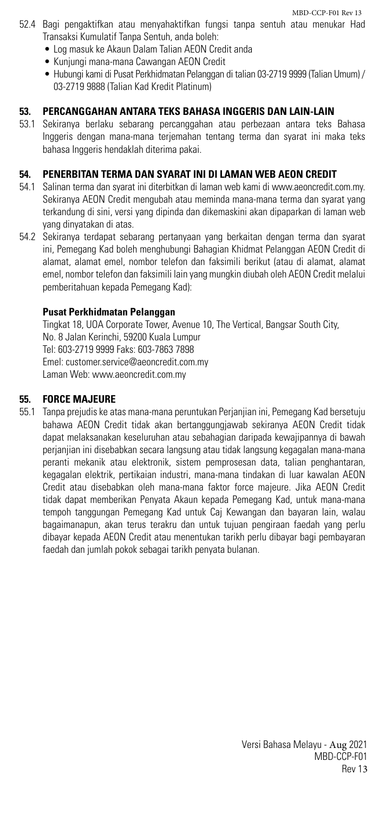MBD-CCP-F01 Rev 13

- 52.4 Bagi pengaktifkan atau menyahaktifkan fungsi tanpa sentuh atau menukar Had Transaksi Kumulatif Tanpa Sentuh, anda boleh:
	- Log masuk ke Akaun Dalam Talian AEON Credit anda
	- • Kunjungi mana-mana Cawangan AEON Credit
	- • Hubungikami di Pusat Perkhidmatan Pelanggan di talian 03-2719 9999 (Talian Umum) / 03-2719 9888 (Talian Kad Kredit Platinum)

# **53. PERCANGGAHAN ANTARA TEKS BAHASA INGGERIS DAN LAIN-LAIN**

53.1 Sekiranya berlaku sebarang percanggahan atau perbezaan antara teks Bahasa Inggeris dengan mana-mana terjemahan tentang terma dan syarat ini maka teks bahasa Inggeris hendaklah diterima pakai.

# **54. PENERBITAN TERMA DAN SYARAT INI DI LAMAN WEB AEON CREDIT**

- 54.1 Salinan terma dan syarat ini diterbitkan di laman web kami di www.aeoncredit.com.my. Sekiranya AEON Credit mengubah atau meminda mana-mana terma dan syarat yang terkandung di sini, versi yang dipinda dan dikemaskini akan dipaparkan di laman web yang dinyatakan di atas.
- 54.2 Sekiranya terdapat sebarang pertanyaan yang berkaitan dengan terma dan syarat ini, Pemegang Kad boleh menghubungi Bahagian Khidmat Pelanggan AEON Credit di alamat, alamat emel, nombor telefon dan faksimili berikut (atau di alamat, alamat emel, nombor telefon dan faksimili lain yang mungkin diubah oleh AEON Credit melalui pemberitahuan kepada Pemegang Kad):

# **Pusat Perkhidmatan Pelanggan**

Tingkat 18, UOA Corporate Tower, Avenue 10, The Vertical, Bangsar South City, No. 8 Jalan Kerinchi, 59200 Kuala Lumpur Tel: 603-2719 9999 Faks: 603-7863 7898 Emel: customer.service@aeoncredit.com.my Laman Web: www.aeoncredit.com.my

# **55. FORCE MAJEURE**

55.1 Tanpa prejudis ke atas mana-mana peruntukan Perjanjian ini, Pemegang Kad bersetuju bahawa AEON Credit tidak akan bertanggungjawab sekiranya AEON Credit tidak dapat melaksanakan keseluruhan atau sebahagian daripada kewajipannya di bawah perjanjian ini disebabkan secara langsung atau tidak langsung kegagalan mana-mana peranti mekanik atau elektronik, sistem pemprosesan data, talian penghantaran, kegagalan elektrik, pertikaian industri, mana-mana tindakan di luar kawalan AEON Credit atau disebabkan oleh mana-mana faktor force majeure. Jika AEON Credit tidak dapat memberikan Penyata Akaun kepada Pemegang Kad, untuk mana-mana tempoh tanggungan Pemegang Kad untuk Caj Kewangan dan bayaran lain, walau bagaimanapun, akan terus terakru dan untuk tujuan pengiraan faedah yang perlu dibayar kepada AEON Credit atau menentukan tarikh perlu dibayar bagi pembayaran faedah dan jumlah pokok sebagai tarikh penyata bulanan.